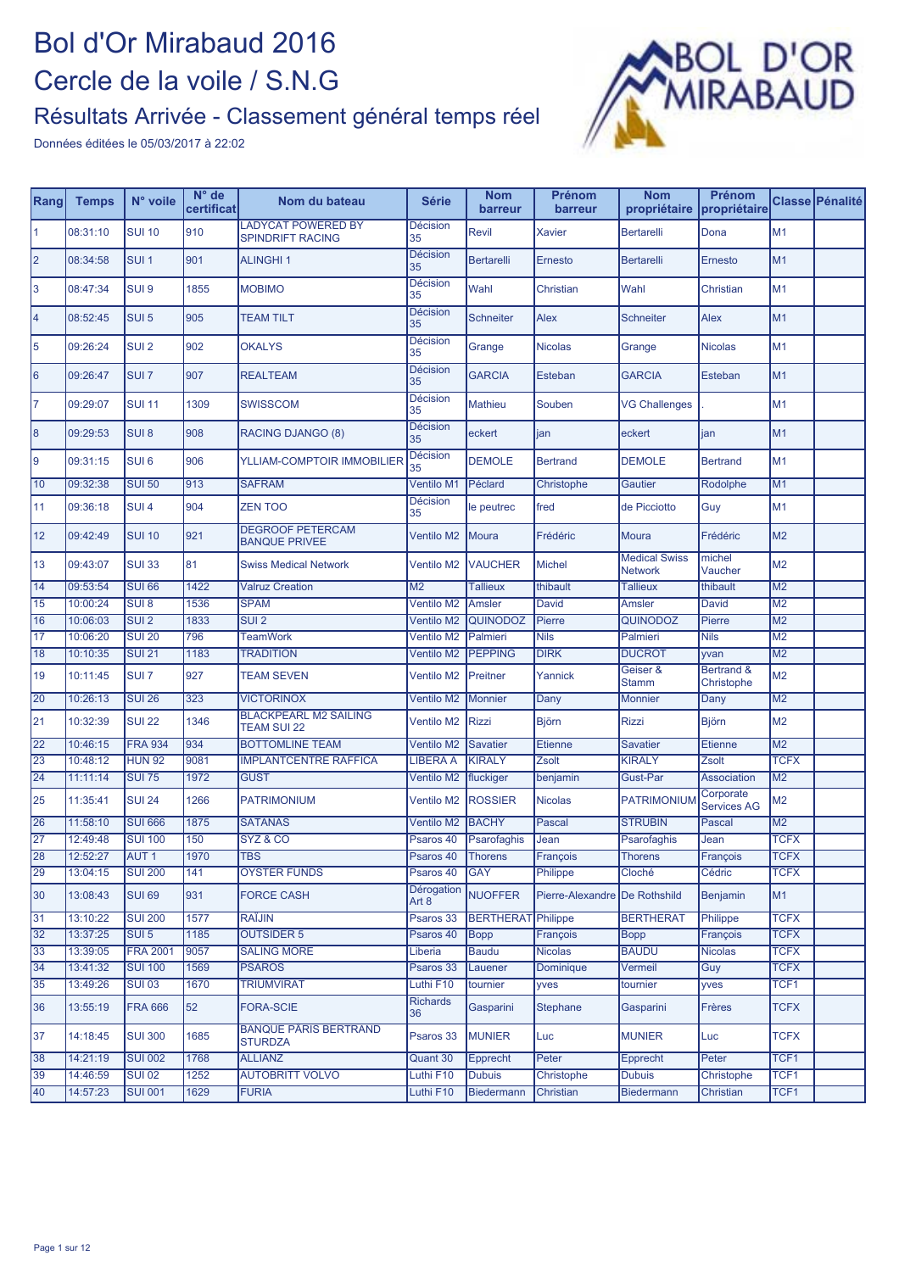

| Rang           | <b>Temps</b> | N° voile         | $N^{\circ}$ de<br>certificat | Nom du bateau                                      | <b>Série</b>          | <b>Nom</b><br>barreur     | Prénom<br>barreur             | <b>Nom</b><br>propriétaire             | Prénom<br>propriétaire          |                  | Classe Pénalité |
|----------------|--------------|------------------|------------------------------|----------------------------------------------------|-----------------------|---------------------------|-------------------------------|----------------------------------------|---------------------------------|------------------|-----------------|
| $\mathbf{1}$   | 08:31:10     | <b>SUI 10</b>    | 910                          | <b>LADYCAT POWERED BY</b><br>SPINDRIFT RACING      | <b>Décision</b><br>35 | Revil                     | <b>Xavier</b>                 | <b>Bertarelli</b>                      | Dona                            | M <sub>1</sub>   |                 |
| $\overline{2}$ | 08:34:58     | SUI <sub>1</sub> | 901                          | <b>ALINGHI1</b>                                    | <b>Décision</b><br>35 | <b>Bertarelli</b>         | Ernesto                       | <b>Bertarelli</b>                      | Ernesto                         | M1               |                 |
| 3              | 08:47:34     | SUI <sub>9</sub> | 1855                         | <b>MOBIMO</b>                                      | <b>Décision</b><br>35 | Wahl                      | Christian                     | Wahl                                   | Christian                       | M1               |                 |
| $\overline{4}$ | 08:52:45     | SUI <sub>5</sub> | 905                          | <b>TEAM TILT</b>                                   | <b>Décision</b><br>35 | <b>Schneiter</b>          | <b>Alex</b>                   | <b>Schneiter</b>                       | <b>Alex</b>                     | M <sub>1</sub>   |                 |
| 5              | 09:26:24     | SUI <sub>2</sub> | 902                          | <b>OKALYS</b>                                      | <b>Décision</b><br>35 | Grange                    | <b>Nicolas</b>                | Grange                                 | <b>Nicolas</b>                  | M <sub>1</sub>   |                 |
| 6              | 09:26:47     | SUI <sub>7</sub> | 907                          | <b>REALTEAM</b>                                    | <b>Décision</b><br>35 | <b>GARCIA</b>             | Esteban                       | <b>GARCIA</b>                          | Esteban                         | M1               |                 |
| $\overline{7}$ | 09:29:07     | <b>SUI 11</b>    | 1309                         | <b>SWISSCOM</b>                                    | <b>Décision</b><br>35 | <b>Mathieu</b>            | Souben                        | <b>VG Challenges</b>                   |                                 | M1               |                 |
| 8              | 09:29:53     | SUI <sub>8</sub> | 908                          | RACING DJANGO (8)                                  | <b>Décision</b><br>35 | eckert                    | jan                           | eckert                                 | jan                             | M1               |                 |
| 9              | 09:31:15     | SUI <sub>6</sub> | 906                          | <b>YLLIAM-COMPTOIR IMMOBILIER</b>                  | Décision<br>35        | <b>DEMOLE</b>             | <b>Bertrand</b>               | <b>DEMOLE</b>                          | <b>Bertrand</b>                 | M1               |                 |
| 10             | 09:32:38     | <b>SUI 50</b>    | 913                          | <b>SAFRAM</b>                                      | <b>Ventilo M1</b>     | Péclard                   | Christophe                    | Gautier                                | Rodolphe                        | M1               |                 |
| 11             | 09:36:18     | SUI <sub>4</sub> | 904                          | <b>ZEN TOO</b>                                     | <b>Décision</b><br>35 | le peutrec                | fred                          | de Picciotto                           | Guy                             | M1               |                 |
| 12             | 09:42:49     | <b>SUI 10</b>    | 921                          | <b>DEGROOF PETERCAM</b><br><b>BANQUE PRIVEE</b>    | Ventilo M2            | Moura                     | Frédéric                      | <b>Moura</b>                           | Frédéric                        | M <sub>2</sub>   |                 |
| 13             | 09:43:07     | <b>SUI 33</b>    | 81                           | <b>Swiss Medical Network</b>                       | Ventilo M2            | VAUCHER                   | <b>Michel</b>                 | <b>Medical Swiss</b><br><b>Network</b> | michel<br>Vaucher               | M <sub>2</sub>   |                 |
| 14             | 09:53:54     | <b>SUI 66</b>    | 1422                         | <b>Valruz Creation</b>                             | M <sub>2</sub>        | <b>Tallieux</b>           | thibault                      | <b>Tallieux</b>                        | thibault                        | M <sub>2</sub>   |                 |
| 15             | 10:00:24     | SUI 8            | 1536                         | <b>SPAM</b>                                        | Ventilo M2            | <b>Amsler</b>             | David                         | <b>Amsler</b>                          | <b>David</b>                    | M <sub>2</sub>   |                 |
| 16             | 10:06:03     | SUI <sub>2</sub> | 1833                         | SUI <sub>2</sub>                                   | Ventilo M2            | <b>QUINODOZ</b>           | Pierre                        | <b>QUINODOZ</b>                        | Pierre                          | M <sub>2</sub>   |                 |
| 17             | 10:06:20     | <b>SUI 20</b>    | 796                          | <b>TeamWork</b>                                    | Ventilo M2            | Palmieri                  | <b>Nils</b>                   | Palmieri                               | <b>Nils</b>                     | M <sub>2</sub>   |                 |
| 18             | 10:10:35     | <b>SUI 21</b>    | 1183                         | <b>TRADITION</b>                                   | Ventilo M2            | <b>PEPPING</b>            | <b>DIRK</b>                   | <b>DUCROT</b>                          | yvan                            | M <sub>2</sub>   |                 |
| 19             | 10:11:45     | SUI <sub>7</sub> | 927                          | <b>TEAM SEVEN</b>                                  | <b>Ventilo M2</b>     | Preitner                  | Yannick                       | Geiser &<br><b>Stamm</b>               | Bertrand &<br>Christophe        | M <sub>2</sub>   |                 |
| 20             | 10:26:13     | <b>SUI 26</b>    | 323                          | <b>VICTORINOX</b>                                  | Ventilo M2            | <b>Monnier</b>            | Dany                          | <b>Monnier</b>                         | Dany                            | M <sub>2</sub>   |                 |
| 21             | 10:32:39     | <b>SUI 22</b>    | 1346                         | <b>BLACKPEARL M2 SAILING</b><br><b>TEAM SUI 22</b> | Ventilo M2            | <b>Rizzi</b>              | <b>Björn</b>                  | <b>Rizzi</b>                           | <b>Björn</b>                    | M <sub>2</sub>   |                 |
| 22             | 10:46:15     | <b>FRA 934</b>   | 934                          | <b>BOTTOMLINE TEAM</b>                             | Ventilo M2            | <b>Savatier</b>           | <b>Etienne</b>                | <b>Savatier</b>                        | <b>Etienne</b>                  | M <sub>2</sub>   |                 |
| 23             | 10:48:12     | <b>HUN 92</b>    | 9081                         | <b>IMPLANTCENTRE RAFFICA</b>                       | <b>LIBERA A</b>       | <b>KIRALY</b>             | Zsolt                         | <b>KIRALY</b>                          | Zsolt                           | <b>TCFX</b>      |                 |
| 24             | 11:11:14     | <b>SUI 75</b>    | 1972                         | <b>GUST</b>                                        | Ventilo M2            | fluckiger                 | benjamin                      | <b>Gust-Par</b>                        | <b>Association</b>              | M <sub>2</sub>   |                 |
| 25             | 11:35:41     | <b>SUI 24</b>    | 1266                         | <b>PATRIMONIUM</b>                                 | Ventilo M2            | <b>ROSSIER</b>            | <b>Nicolas</b>                | <b>PATRIMONIUM</b>                     | Corporate<br><b>Services AG</b> | M <sub>2</sub>   |                 |
| 26             | 11:58:10     | <b>SUI 666</b>   | 1875                         | <b>SATANAS</b>                                     | Ventilo M2            | <b>BACHY</b>              | <b>Pascal</b>                 | <b>STRUBIN</b>                         | Pascal                          | M <sub>2</sub>   |                 |
| 27             | 12:49:48     | <b>SUI 100</b>   | 150                          | SYZ & CO                                           | Psaros 40             | <b>Psarofaghis</b>        | Jean                          | Psarofaghis                            | Jean                            | <b>TCFX</b>      |                 |
| 28             | 12:52:27     | AUT <sub>1</sub> | 1970                         | <b>TBS</b>                                         | Psaros 40             | <b>Thorens</b>            | François                      | <b>Thorens</b>                         | François                        | <b>TCFX</b>      |                 |
| 29             | 13:04:15     | <b>SUI 200</b>   | 141                          | OYSTER FUNDS                                       | Psaros 40             | GAY                       | Philippe                      | Cloché                                 | Cédric                          | <b>TCFX</b>      |                 |
| 30             | 13:08:43     | <b>SUI 69</b>    | 931                          | <b>FORCE CASH</b>                                  | Dérogation<br>Art 8   | <b>NUOFFER</b>            | Pierre-Alexandre De Rothshild |                                        | <b>Benjamin</b>                 | M <sub>1</sub>   |                 |
| 31             | 13:10:22     | <b>SUI 200</b>   | 1577                         | <b>RAÏJIN</b>                                      | Psaros 33             | <b>BERTHERAT Philippe</b> |                               | <b>BERTHERAT</b>                       | Philippe                        | <b>TCFX</b>      |                 |
| 32             | 13:37:25     | $SUI$ 5          | 1185                         | <b>OUTSIDER 5</b>                                  | Psaros 40             | <b>Bopp</b>               | François                      | <b>Bopp</b>                            | François                        | <b>TCFX</b>      |                 |
| 33             | 13:39:05     | <b>FRA 2001</b>  | 9057                         | <b>SALING MORE</b>                                 | Liberia               | <b>Baudu</b>              | <b>Nicolas</b>                | <b>BAUDU</b>                           | <b>Nicolas</b>                  | <b>TCFX</b>      |                 |
| 34             | 13:41:32     | <b>SUI 100</b>   | 1569                         | <b>PSAROS</b>                                      | Psaros 33             | Lauener                   | Dominique                     | Vermeil                                | Guy                             | <b>TCFX</b>      |                 |
| 35             | 13:49:26     | <b>SUI 03</b>    | 1670                         | <b>TRIUMVIRAT</b>                                  | Luthi F10             | tournier                  | yves                          | tournier                               | yves                            | TCF <sub>1</sub> |                 |
| 36             | 13:55:19     | <b>FRA 666</b>   | 52                           | <b>FORA-SCIE</b>                                   | <b>Richards</b><br>36 | Gasparini                 | <b>Stephane</b>               | Gasparini                              | Frères                          | <b>TCFX</b>      |                 |
| 37             | 14:18:45     | <b>SUI 300</b>   | 1685                         | <b>BANQUE PÂRIS BERTRAND</b><br><b>STURDZA</b>     | Psaros 33             | <b>MUNIER</b>             | Luc                           | <b>MUNIER</b>                          | Luc                             | <b>TCFX</b>      |                 |
| 38             | 14:21:19     | <b>SUI 002</b>   | 1768                         | <b>ALLIANZ</b>                                     | Quant 30              | <b>Epprecht</b>           | Peter                         | Epprecht                               | Peter                           | TCF <sub>1</sub> |                 |
| 39             | 14:46:59     | <b>SUI 02</b>    | 1252                         | <b>AUTOBRITT VOLVO</b>                             | Luthi F10             | <b>Dubuis</b>             | Christophe                    | <b>Dubuis</b>                          | Christophe                      | TCF <sub>1</sub> |                 |
| 40             | 14:57:23     | <b>SUI 001</b>   | 1629                         | <b>FURIA</b>                                       | Luthi F10             | Biedermann                | Christian                     | <b>Biedermann</b>                      | Christian                       | TCF1             |                 |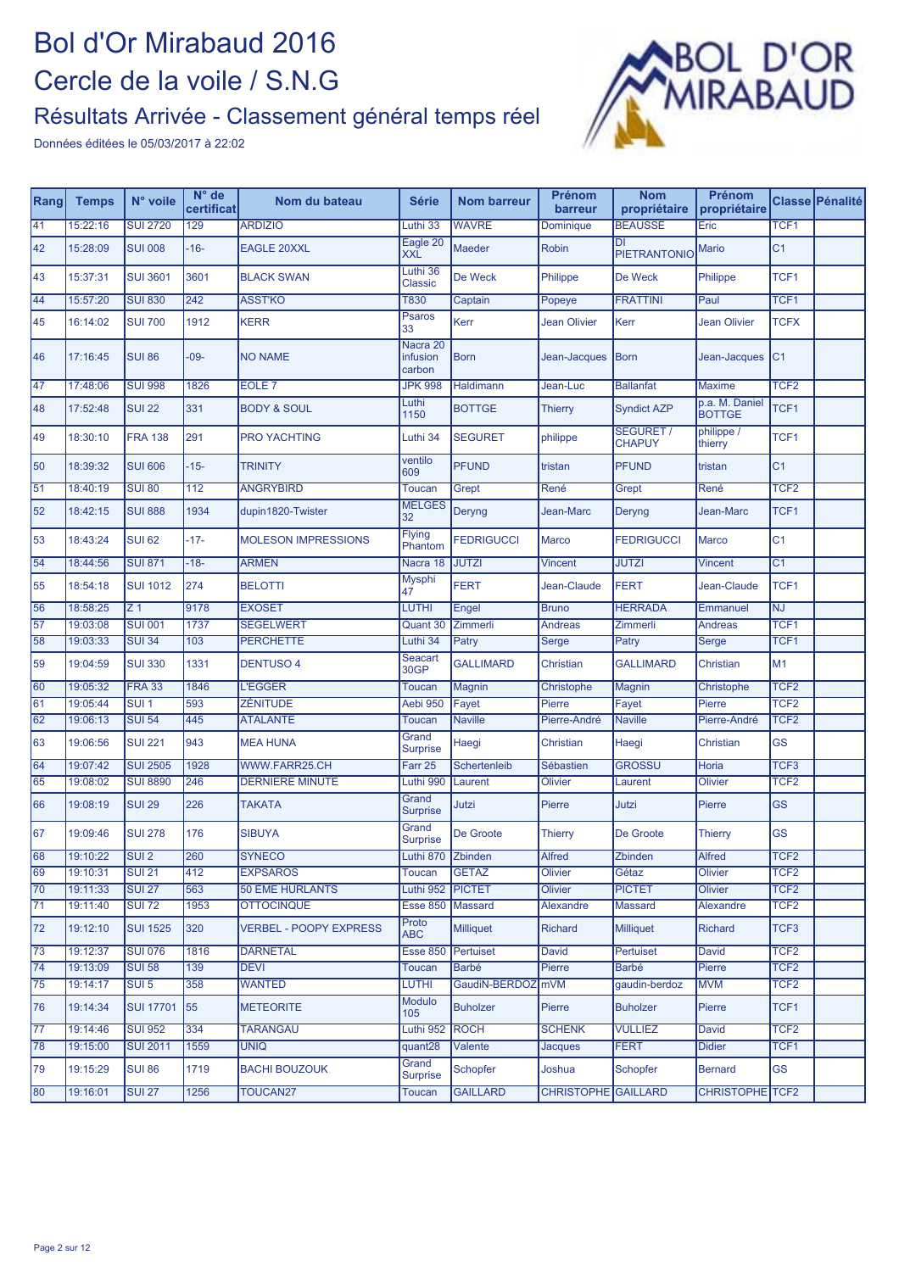# Bol d'Or Mirabaud 2016 Cercle de la voile / S.N.G

## Résultats Arrivée - Classement général temps réel



| Rang            | <b>Temps</b> | N° voile         | $N^{\circ}$ de<br>certificat | Nom du bateau                 | <b>Série</b>                   | <b>Nom barreur</b>  | Prénom<br>barreur          | <b>Nom</b><br>propriétaire        | Prénom<br>propriétaire          |                  | Classe Pénalité |
|-----------------|--------------|------------------|------------------------------|-------------------------------|--------------------------------|---------------------|----------------------------|-----------------------------------|---------------------------------|------------------|-----------------|
| 41              | 15:22:16     | <b>SUI 2720</b>  | 129                          | <b>ARDIZIO</b>                | Luthi 33                       | <b>WAVRE</b>        | Dominique                  | <b>BEAUSSE</b>                    | Eric                            | TCF <sub>1</sub> |                 |
| 42              | 15:28:09     | <b>SUI 008</b>   | $-16-$                       | <b>EAGLE 20XXL</b>            | Eagle 20<br><b>XXL</b>         | Maeder              | <b>Robin</b>               | DI<br><b>PIETRANTONIO</b>         | <b>Mario</b>                    | C <sub>1</sub>   |                 |
| 43              | 15:37:31     | <b>SUI 3601</b>  | 3601                         | <b>BLACK SWAN</b>             | Luthi 36<br><b>Classic</b>     | De Weck             | Philippe                   | De Weck                           | Philippe                        | TCF1             |                 |
| 44              | 15:57:20     | <b>SUI 830</b>   | 242                          | <b>ASST'KO</b>                | <b>T830</b>                    | Captain             | Popeye                     | <b>FRATTINI</b>                   | Paul                            | TCF <sub>1</sub> |                 |
| 45              | 16:14:02     | <b>SUI 700</b>   | 1912                         | <b>KERR</b>                   | <b>Psaros</b><br>33            | Kerr                | <b>Jean Olivier</b>        | Kerr                              | <b>Jean Olivier</b>             | <b>TCFX</b>      |                 |
| 46              | 17:16:45     | <b>SUI 86</b>    | $-09-$                       | <b>NO NAME</b>                | Nacra 20<br>infusion<br>carbon | <b>Born</b>         | Jean-Jacques               | <b>Born</b>                       | Jean-Jacques                    | C <sub>1</sub>   |                 |
| 47              | 17:48:06     | <b>SUI 998</b>   | 1826                         | EOLE <sub>7</sub>             | <b>JPK 998</b>                 | Haldimann           | Jean-Luc                   | <b>Ballanfat</b>                  | <b>Maxime</b>                   | TCF <sub>2</sub> |                 |
| 48              | 17:52:48     | <b>SUI 22</b>    | 331                          | <b>BODY &amp; SOUL</b>        | Luthi<br>1150                  | <b>BOTTGE</b>       | <b>Thierry</b>             | <b>Syndict AZP</b>                | p.a. M. Daniel<br><b>BOTTGE</b> | TCF1             |                 |
| 49              | 18:30:10     | <b>FRA 138</b>   | 291                          | <b>PRO YACHTING</b>           | Luthi 34                       | <b>SEGURET</b>      | philippe                   | <b>SEGURET /</b><br><b>CHAPUY</b> | philippe /<br>thierry           | TCF1             |                 |
| 50              | 18:39:32     | <b>SUI 606</b>   | $-15-$                       | <b>TRINITY</b>                | ventilo<br>609                 | <b>PFUND</b>        | tristan                    | <b>PFUND</b>                      | tristan                         | C <sub>1</sub>   |                 |
| 51              | 18:40:19     | <b>SUI 80</b>    | 112                          | <b>ANGRYBIRD</b>              | <b>Toucan</b>                  | Grept               | René                       | Grept                             | René                            | TCF <sub>2</sub> |                 |
| 52              | 18:42:15     | <b>SUI 888</b>   | 1934                         | dupin1820-Twister             | <b>MELGES</b><br>32            | Deryng              | Jean-Marc                  | Deryng                            | Jean-Marc                       | TCF1             |                 |
| 53              | 18:43:24     | <b>SUI 62</b>    | $-17-$                       | <b>MOLESON IMPRESSIONS</b>    | <b>Flying</b><br>Phantom       | <b>FEDRIGUCCI</b>   | Marco                      | <b>FEDRIGUCCI</b>                 | Marco                           | C <sub>1</sub>   |                 |
| $\overline{54}$ | 18:44:56     | <b>SUI 871</b>   | $-18-$                       | <b>ARMEN</b>                  | Nacra 18                       | <b>JUTZI</b>        | <b>Vincent</b>             | <b>JUTZI</b>                      | <b>Vincent</b>                  | C <sub>1</sub>   |                 |
| 55              | 18:54:18     | <b>SUI 1012</b>  | 274                          | <b>BELOTTI</b>                | Mysphi<br>47                   | <b>FERT</b>         | Jean-Claude                | <b>FERT</b>                       | Jean-Claude                     | TCF1             |                 |
| 56              | 18:58:25     | Z <sub>1</sub>   | 9178                         | <b>EXOSET</b>                 | LUTHI                          | Engel               | <b>Bruno</b>               | <b>HERRADA</b>                    | Emmanuel                        | <b>NJ</b>        |                 |
| 57              | 19:03:08     | <b>SUI 001</b>   | 1737                         | <b>SEGELWERT</b>              | Quant 30                       | Zimmerli            | <b>Andreas</b>             | Zimmerli                          | Andreas                         | TCF <sub>1</sub> |                 |
| $\overline{58}$ | 19:03:33     | <b>SUI 34</b>    | 103                          | <b>PERCHETTE</b>              | Luthi 34                       | Patry               | Serge                      | Patry                             | Serge                           | TCF <sub>1</sub> |                 |
| 59              | 19:04:59     | <b>SUI 330</b>   | 1331                         | <b>DENTUSO 4</b>              | Seacart<br>30GP                | <b>GALLIMARD</b>    | Christian                  | <b>GALLIMARD</b>                  | Christian                       | M1               |                 |
| 60              | 19:05:32     | <b>FRA 33</b>    | 1846                         | <b>L'EGGER</b>                | Toucan                         | Magnin              | Christophe                 | Magnin                            | Christophe                      | TCF <sub>2</sub> |                 |
| 61              | 19:05:44     | $SUI$ 1          | 593                          | ZÉNITUDE                      | Aebi 950                       | Fayet               | Pierre                     | Fayet                             | Pierre                          | TCF <sub>2</sub> |                 |
| 62              | 19:06:13     | <b>SUI 54</b>    | 445                          | <b>ATALANTE</b>               | <b>Toucan</b>                  | <b>Naville</b>      | Pierre-André               | <b>Naville</b>                    | Pierre-André                    | TCF <sub>2</sub> |                 |
| 63              | 19:06:56     | <b>SUI 221</b>   | 943                          | <b>MEA HUNA</b>               | Grand<br><b>Surprise</b>       | Haegi               | Christian                  | Haegi                             | Christian                       | <b>GS</b>        |                 |
| 64              | 19:07:42     | <b>SUI 2505</b>  | 1928                         | WWW.FARR25.CH                 | Farr 25                        | <b>Schertenleib</b> | Sébastien                  | <b>GROSSU</b>                     | Horia                           | TCF <sub>3</sub> |                 |
| $\overline{65}$ | 19:08:02     | <b>SUI 8890</b>  | 246                          | <b>DERNIERE MINUTE</b>        | Luthi 990                      | Laurent             | Olivier                    | Laurent                           | <b>Olivier</b>                  | TCF <sub>2</sub> |                 |
| 66              | 19:08:19     | <b>SUI 29</b>    | 226                          | <b>TAKATA</b>                 | Grand<br><b>Surprise</b>       | Jutzi               | Pierre                     | Jutzi                             | Pierre                          | <b>GS</b>        |                 |
| 67              | 19:09:46     | <b>SUI 278</b>   | 176                          | <b>SIBUYA</b>                 | Grand<br><b>Surprise</b>       | De Groote           | Thierry                    | De Groote                         | <b>Thierry</b>                  | <b>GS</b>        |                 |
| 68              | 19:10:22     | SUI2             | 260                          | <b>SYNECO</b>                 | Luthi 870                      | Zbinden             | <b>Alfred</b>              | Zbinden                           | <b>Alfred</b>                   | TCF <sub>2</sub> |                 |
| 69              | 19:10:31     | <b>SUI 21</b>    | 412                          | <b>EXPSAROS</b>               | <b>Toucan</b>                  | <b>GETAZ</b>        | Olivier                    | Gétaz                             | Olivier                         | TCF <sub>2</sub> |                 |
| $\overline{70}$ | 19:11:33     | <b>SUI 27</b>    | 563                          | 50 ÈME HURLANTS               | Luthi 952                      | <b>PICTET</b>       | Olivier                    | <b>PICTET</b>                     | Olivier                         | TCF <sub>2</sub> |                 |
| 71              | 19:11:40     | <b>SUI 72</b>    | 1953                         | <b>OTTOCINQUE</b>             | <b>Esse 850</b>                | <b>Massard</b>      | Alexandre                  | Massard                           | <b>Alexandre</b>                | TCF <sub>2</sub> |                 |
| 72              | 19:12:10     | <b>SUI 1525</b>  | 320                          | <b>VERBEL - POOPY EXPRESS</b> | Proto<br><b>ABC</b>            | <b>Milliquet</b>    | <b>Richard</b>             | <b>Milliquet</b>                  | <b>Richard</b>                  | TCF <sub>3</sub> |                 |
| 73              | 19:12:37     | <b>SUI 076</b>   | 1816                         | <b>DARNETAL</b>               | <b>Esse 850</b>                | Pertuiset           | David                      | <b>Pertuiset</b>                  | David                           | TCF <sub>2</sub> |                 |
| $\overline{74}$ | 19:13:09     | <b>SUI 58</b>    | 139                          | <b>DEVI</b>                   | Toucan                         | <b>Barbé</b>        | Pierre                     | <b>Barbé</b>                      | Pierre                          | TCF <sub>2</sub> |                 |
| 75              | 19:14:17     | $SUI$ 5          | 358                          | <b>WANTED</b>                 | LUTHI                          | GaudiN-BERDOZ mVM   |                            | gaudin-berdoz                     | <b>MVM</b>                      | TCF <sub>2</sub> |                 |
| 76              | 19:14:34     | <b>SUI 17701</b> | 55                           | <b>METEORITE</b>              | Modulo<br>105                  | <b>Buholzer</b>     | Pierre                     | <b>Buholzer</b>                   | Pierre                          | TCF1             |                 |
| 77              | 19:14:46     | <b>SUI 952</b>   | 334                          | <b>TARANGAU</b>               | Luthi 952                      | <b>ROCH</b>         | <b>SCHENK</b>              | <b>VULLIEZ</b>                    | David                           | TCF <sub>2</sub> |                 |
| 78              | 19:15:00     | <b>SUI 2011</b>  | 1559                         | <b>UNIQ</b>                   | quant28                        | Valente             | Jacques                    | <b>FERT</b>                       | <b>Didier</b>                   | TCF <sub>1</sub> |                 |
| 79              | 19:15:29     | <b>SUI 86</b>    | 1719                         | <b>BACHI BOUZOUK</b>          | Grand<br><b>Surprise</b>       | <b>Schopfer</b>     | Joshua                     | Schopfer                          | <b>Bernard</b>                  | <b>GS</b>        |                 |
| 80              | 19:16:01     | <b>SUI 27</b>    | 1256                         | <b>TOUCAN27</b>               | <b>Toucan</b>                  | <b>GAILLARD</b>     | <b>CHRISTOPHE GAILLARD</b> |                                   | <b>CHRISTOPHE TCF2</b>          |                  |                 |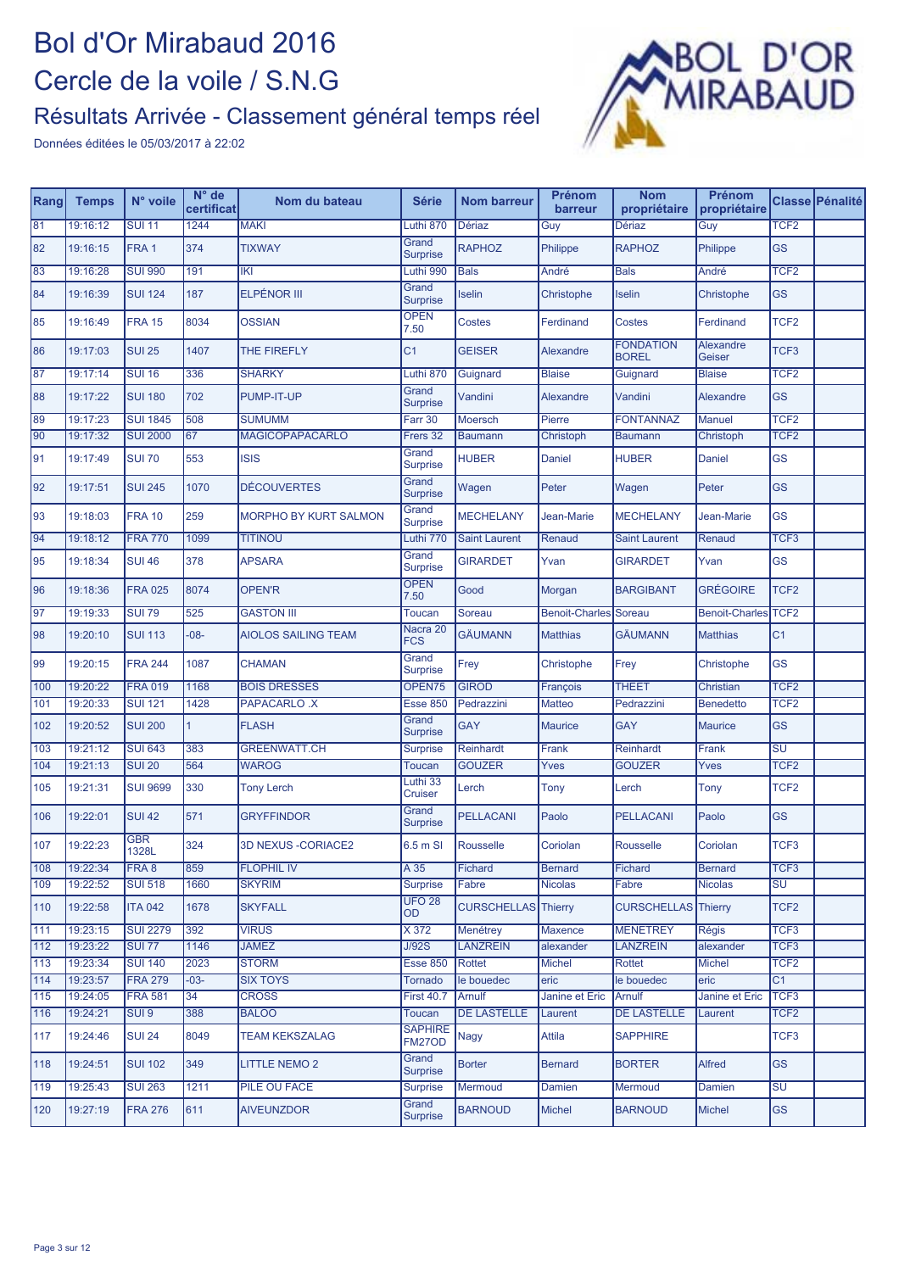

| Rang            | <b>Temps</b>         | N° voile                           | $N^{\circ}$ de<br>certificat | Nom du bateau                | <b>Série</b>                       | <b>Nom barreur</b>           | Prénom<br>barreur         | <b>Nom</b><br>propriétaire       | Prénom<br>propriétaire    |                                      | <b>Classe Pénalité</b> |
|-----------------|----------------------|------------------------------------|------------------------------|------------------------------|------------------------------------|------------------------------|---------------------------|----------------------------------|---------------------------|--------------------------------------|------------------------|
| 81              | 19:16:12             | <b>SUI 11</b>                      | 1244                         | <b>MAKI</b>                  | Luthi 870                          | Dériaz                       | Guy                       | <b>Dériaz</b>                    | Guy                       | TCF <sub>2</sub>                     |                        |
| 82              | 19:16:15             | FRA <sub>1</sub>                   | 374                          | <b>TIXWAY</b>                | Grand<br><b>Surprise</b>           | <b>RAPHOZ</b>                | Philippe                  | <b>RAPHOZ</b>                    | Philippe                  | <b>GS</b>                            |                        |
| 83              | 19:16:28             | <b>SUI 990</b>                     | 191                          | <b>IKI</b>                   | Luthi 990                          | <b>Bals</b>                  | André                     | <b>Bals</b>                      | André                     | TCF <sub>2</sub>                     |                        |
| 84              | 19:16:39             | <b>SUI 124</b>                     | 187                          | <b>ELPÉNOR III</b>           | Grand<br><b>Surprise</b>           | Iselin                       | Christophe                | Iselin                           | Christophe                | <b>GS</b>                            |                        |
| 85              | 19:16:49             | <b>FRA 15</b>                      | 8034                         | <b>OSSIAN</b>                | <b>OPEN</b><br>7.50                | <b>Costes</b>                | Ferdinand                 | <b>Costes</b>                    | Ferdinand                 | TCF <sub>2</sub>                     |                        |
| 86              | 19:17:03             | <b>SUI 25</b>                      | 1407                         | THE FIREFLY                  | C <sub>1</sub>                     | <b>GEISER</b>                | Alexandre                 | <b>FONDATION</b><br><b>BOREL</b> | Alexandre<br>Geiser       | TCF <sub>3</sub>                     |                        |
| 87              | 19:17:14             | <b>SUI 16</b>                      | 336                          | <b>SHARKY</b>                | Luthi 870                          | Guignard                     | <b>Blaise</b>             | Guignard                         | <b>Blaise</b>             | TCF <sub>2</sub>                     |                        |
| 88              | 19:17:22             | <b>SUI 180</b>                     | 702                          | PUMP-IT-UP                   | Grand<br><b>Surprise</b>           | Vandini                      | Alexandre                 | Vandini                          | Alexandre                 | <b>GS</b>                            |                        |
| 89              | 19:17:23             | <b>SUI 1845</b>                    | 508                          | <b>SUMUMM</b>                | Farr 30                            | Moersch                      | Pierre                    | <b>FONTANNAZ</b>                 | <b>Manuel</b>             | TCF <sub>2</sub>                     |                        |
| 90              | 19:17:32             | <b>SUI 2000</b>                    | 67                           | <b>MAGICOPAPACARLO</b>       | Frers 32                           | <b>Baumann</b>               | Christoph                 | <b>Baumann</b>                   | Christoph                 | TCF <sub>2</sub>                     |                        |
| 91              | 19:17:49             | <b>SUI 70</b>                      | 553                          | <b>ISIS</b>                  | Grand<br><b>Surprise</b>           | <b>HUBER</b>                 | <b>Daniel</b>             | <b>HUBER</b>                     | Daniel                    | <b>GS</b>                            |                        |
| 92              | 19:17:51             | <b>SUI 245</b>                     | 1070                         | <b>DÉCOUVERTES</b>           | Grand<br><b>Surprise</b>           | Wagen                        | Peter                     | Wagen                            | Peter                     | <b>GS</b>                            |                        |
| 93              | 19:18:03             | <b>FRA 10</b>                      | 259                          | <b>MORPHO BY KURT SALMON</b> | Grand<br><b>Surprise</b>           | <b>MECHELANY</b>             | Jean-Marie                | <b>MECHELANY</b>                 | Jean-Marie                | <b>GS</b>                            |                        |
| 94              | 19:18:12             | <b>FRA 770</b>                     | 1099                         | <b>TITINOU</b>               | Luthi 770                          | <b>Saint Laurent</b>         | Renaud                    | <b>Saint Laurent</b>             | Renaud                    | TCF <sub>3</sub>                     |                        |
| 95              | 19:18:34             | <b>SUI 46</b>                      | 378                          | <b>APSARA</b>                | Grand<br><b>Surprise</b>           | <b>GIRARDET</b>              | Yvan                      | <b>GIRARDET</b>                  | Yvan                      | <b>GS</b>                            |                        |
| 96              | 19:18:36             | <b>FRA 025</b>                     | 8074                         | <b>OPEN'R</b>                | <b>OPEN</b><br>7.50                | Good                         | Morgan                    | <b>BARGIBANT</b>                 | <b>GRÉGOIRE</b>           | TCF <sub>2</sub>                     |                        |
| $\overline{97}$ | 19:19:33             | <b>SUI 79</b>                      | 525                          | <b>GASTON III</b>            | Toucan                             | Soreau                       | Benoit-Charles Soreau     |                                  | <b>Benoit-Charles</b>     | TCF <sub>2</sub>                     |                        |
| 98              | 19:20:10             | <b>SUI 113</b>                     | $-08-$                       | <b>AIOLOS SAILING TEAM</b>   | Nacra 20<br><b>FCS</b>             | <b>GÄUMANN</b>               | <b>Matthias</b>           | <b>GÄUMANN</b>                   | <b>Matthias</b>           | C <sub>1</sub>                       |                        |
| 99              | 19:20:15             | <b>FRA 244</b>                     | 1087                         | <b>CHAMAN</b>                | Grand<br><b>Surprise</b>           | Frey                         | Christophe                | Frey                             | Christophe                | <b>GS</b>                            |                        |
| 100             | 19:20:22             | <b>FRA 019</b>                     | 1168                         | <b>BOIS DRESSES</b>          | OPEN75                             | <b>GIROD</b>                 | François                  | <b>THEET</b>                     | Christian                 | TCF <sub>2</sub>                     |                        |
| 101             | 19:20:33             | <b>SUI 121</b>                     | 1428                         | <b>PAPACARLO .X</b>          | <b>Esse 850</b>                    | Pedrazzini                   | Matteo                    | Pedrazzini                       | <b>Benedetto</b>          | TCF <sub>2</sub>                     |                        |
| 102             | 19:20:52             | <b>SUI 200</b>                     | 1                            | <b>FLASH</b>                 | Grand<br><b>Surprise</b>           | <b>GAY</b>                   | <b>Maurice</b>            | <b>GAY</b>                       | <b>Maurice</b>            | <b>GS</b>                            |                        |
| 103             | 19:21:12             | <b>SUI 643</b>                     | 383                          | <b>GREENWATT.CH</b>          | <b>Surprise</b>                    | Reinhardt                    | Frank                     | <b>Reinhardt</b>                 | Frank                     | $\overline{\mathsf{S}\mathsf{U}}$    |                        |
| 104             | 19:21:13             | <b>SUI 20</b>                      | 564                          | <b>WAROG</b>                 | Toucan                             | <b>GOUZER</b>                | Yves                      | <b>GOUZER</b>                    | Yves                      | TCF <sub>2</sub>                     |                        |
| 105             | 19:21:31             | <b>SUI 9699</b>                    | 330                          | <b>Tony Lerch</b>            | Luthi 33<br><b>Cruiser</b>         | Lerch                        | Tony                      | Lerch                            | Tony                      | TCF <sub>2</sub>                     |                        |
| 106             | 19:22:01             | <b>SUI 42</b>                      | 571                          | <b>GRYFFINDOR</b>            | Grand<br><b>Surprise</b>           | <b>PELLACANI</b>             | Paolo                     | <b>PELLACANI</b>                 | Paolo                     | <b>GS</b>                            |                        |
| 107             | 19:22:23             | <b>GBR</b><br>1328L                | 324                          | 3D NEXUS - CORIACE2          | 6.5 m SI                           | Rousselle                    | Coriolan                  | Rousselle                        | Coriolan                  | TCF3                                 |                        |
| 108             | 19:22:34             | FRA 8                              | 859                          | <b>FLOPHIL IV</b>            | A 35                               | Fichard                      | <b>Bernard</b>            | Fichard                          | Bernard                   | TCF <sub>3</sub>                     |                        |
| 109             | 19:22:52             | <b>SUI 518</b>                     | 1660                         | <b>SKYRIM</b>                | <b>Surprise</b>                    | Fabre                        | <b>Nicolas</b>            | Fabre                            | <b>Nicolas</b>            | $\overline{\mathsf{SU}}$             |                        |
| 110             | 19:22:58             | <b>ITA 042</b>                     | 1678                         | <b>SKYFALL</b>               | <b>UFO 28</b><br><b>OD</b>         | <b>CURSCHELLAS</b> Thierry   |                           | <b>CURSCHELLAS</b> Thierry       |                           | TCF <sub>2</sub>                     |                        |
| 111             | 19:23:15             | <b>SUI 2279</b>                    | 392                          | <b>VIRUS</b><br><b>JAMEZ</b> | X 372                              | Menétrey                     | Maxence                   | <b>MENETREY</b>                  | <b>Régis</b>              | TCF3                                 |                        |
| 112<br>113      | 19:23:22             | <b>SUI 77</b><br><b>SUI 140</b>    | 1146                         | <b>STORM</b>                 | J/92S                              | <b>LANZREIN</b>              | alexander                 | <b>LANZREIN</b>                  | alexander                 | TCF <sub>3</sub><br>TCF <sub>2</sub> |                        |
| 114             | 19:23:34<br>19:23:57 | <b>FRA 279</b>                     | 2023                         | <b>SIX TOYS</b>              | <b>Esse 850</b>                    | Rottet<br>le bouedec         | <b>Michel</b>             | Rottet                           | <b>Michel</b>             | C1                                   |                        |
|                 |                      |                                    | $-03-$                       |                              | Tornado                            |                              | eric                      | le bouedec                       | eric                      |                                      |                        |
| 115<br>116      | 19:24:05<br>19:24:21 | <b>FRA 581</b><br>SUI <sub>9</sub> | 34<br>388                    | <b>CROSS</b><br><b>BALOO</b> | <b>First 40.7</b><br><b>Toucan</b> | Arnulf<br><b>DE LASTELLE</b> | Janine et Eric<br>Laurent | Arnulf<br><b>DE LASTELLE</b>     | Janine et Eric<br>Laurent | TCF <sub>3</sub><br>TCF <sub>2</sub> |                        |
| 117             | 19:24:46             | <b>SUI 24</b>                      | 8049                         | <b>TEAM KEKSZALAG</b>        | <b>SAPHIRE</b>                     | Nagy                         | Attila                    | <b>SAPPHIRE</b>                  |                           | TCF3                                 |                        |
| 118             | 19:24:51             | <b>SUI 102</b>                     | 349                          | <b>LITTLE NEMO 2</b>         | FM27OD<br>Grand                    | <b>Borter</b>                | <b>Bernard</b>            | <b>BORTER</b>                    | Alfred                    | <b>GS</b>                            |                        |
|                 |                      |                                    |                              |                              | <b>Surprise</b>                    |                              |                           |                                  |                           |                                      |                        |
| 119             | 19:25:43             | <b>SUI 263</b>                     | 1211                         | PILE OU FACE                 | <b>Surprise</b><br>Grand           | Mermoud                      | Damien                    | Mermoud                          | Damien                    | <b>SU</b>                            |                        |
| 120             | 19:27:19             | <b>FRA 276</b>                     | 611                          | <b>AIVEUNZDOR</b>            | <b>Surprise</b>                    | <b>BARNOUD</b>               | <b>Michel</b>             | <b>BARNOUD</b>                   | Michel                    | <b>GS</b>                            |                        |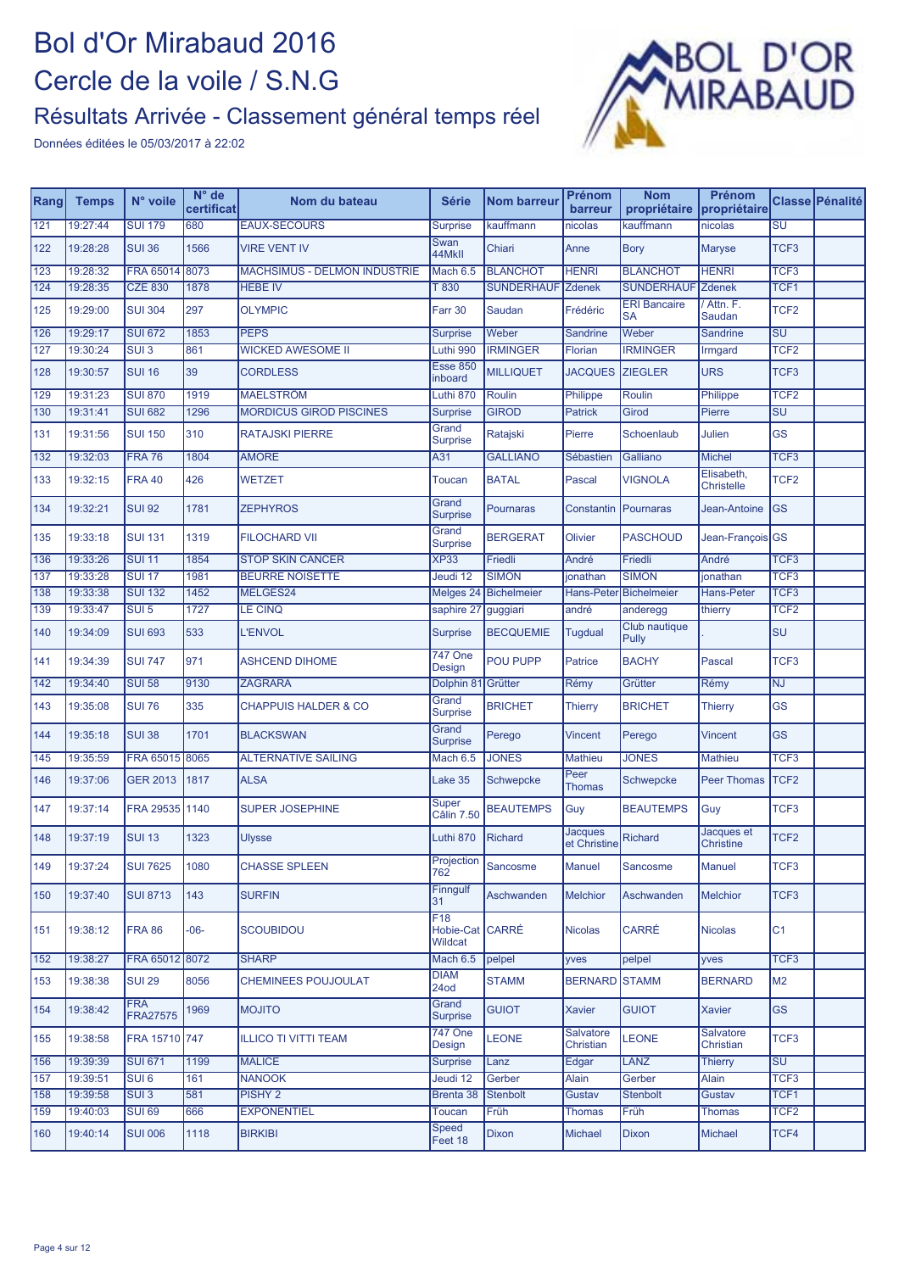## Bol d'Or Mirabaud 2016 Cercle de la voile / S.N.G

#### Résultats Arrivée - Classement général temps réel



| Rang             | <b>Temps</b>         | N° voile                      | $N^{\circ}$ de<br>certificat | Nom du bateau                  | <b>Série</b>                      | <b>Nom barreur</b> | Prénom<br>barreur              | <b>Nom</b><br>propriétaire       | Prénom<br>propriétaire          |                        | Classe Pénalité |
|------------------|----------------------|-------------------------------|------------------------------|--------------------------------|-----------------------------------|--------------------|--------------------------------|----------------------------------|---------------------------------|------------------------|-----------------|
| 121              | 19:27:44             | <b>SUI 179</b>                | 680                          | <b>EAUX-SECOURS</b>            | <b>Surprise</b>                   | kauffmann          | nicolas                        | kauffmann                        | nicolas                         | $\overline{\text{SU}}$ |                 |
| 122              | 19:28:28             | <b>SUI 36</b>                 | 1566                         | <b>VIRE VENT IV</b>            | Swan<br>44MkII                    | Chiari             | Anne                           | <b>Bory</b>                      | <b>Maryse</b>                   | TCF <sub>3</sub>       |                 |
| $\overline{123}$ | 19:28:32             | FRA 65014                     | 8073                         | MACHSIMUS - DELMON INDUSTRIE   | Mach 6.5                          | <b>BLANCHOT</b>    | <b>HENRI</b>                   | <b>BLANCHOT</b>                  | <b>HENRI</b>                    | TCF <sub>3</sub>       |                 |
| $124$            | 19:28:35             | <b>CZE 830</b>                | 1878                         | <b>HEBE IV</b>                 | T 830                             | <b>SUNDERHAUF</b>  | <b>Zdenek</b>                  | <b>SUNDERHAUF</b>                | <b>Zdenek</b>                   | TCF <sub>1</sub>       |                 |
| 125              | 19:29:00             | <b>SUI 304</b>                | 297                          | <b>OLYMPIC</b>                 | Farr 30                           | Saudan             | Frédéric                       | <b>ERI Bancaire</b><br><b>SA</b> | Attn. F.<br>Saudan              | TCF <sub>2</sub>       |                 |
| 126              | 19:29:17             | <b>SUI 672</b>                | 1853                         | <b>PEPS</b>                    | <b>Surprise</b>                   | Weber              | Sandrine                       | Weber                            | Sandrine                        | SU                     |                 |
| 127              | 19:30:24             | SUI <sub>3</sub>              | 861                          | <b>WICKED AWESOME II</b>       | Luthi 990                         | <b>IRMINGER</b>    | Florian                        | <b>IRMINGER</b>                  | Irmgard                         | TCF <sub>2</sub>       |                 |
| 128              | 19:30:57             | <b>SUI 16</b>                 | 39                           | <b>CORDLESS</b>                | <b>Esse 850</b><br>inboard        | <b>MILLIQUET</b>   | <b>JACQUES</b>                 | <b>ZIEGLER</b>                   | <b>URS</b>                      | TCF <sub>3</sub>       |                 |
| 129              | 19:31:23             | <b>SUI 870</b>                | 1919                         | <b>MAELSTRÖM</b>               | Luthi 870                         | Roulin             | Philippe                       | Roulin                           | Philippe                        | TCF <sub>2</sub>       |                 |
| 130              | 19:31:41             | <b>SUI 682</b>                | 1296                         | <b>MORDICUS GIROD PISCINES</b> | <b>Surprise</b>                   | <b>GIROD</b>       | <b>Patrick</b>                 | Girod                            | Pierre                          | SU                     |                 |
| 131              | 19:31:56             | <b>SUI 150</b>                | 310                          | RATAJSKI PIERRE                | Grand<br><b>Surprise</b>          | Ratajski           | Pierre                         | Schoenlaub                       | Julien                          | <b>GS</b>              |                 |
| $\boxed{132}$    | 19:32:03             | <b>FRA 76</b>                 | 1804                         | <b>AMORE</b>                   | A31                               | <b>GALLIANO</b>    | Sébastien                      | Galliano                         | <b>Michel</b>                   | TCF <sub>3</sub>       |                 |
| 133              | 19:32:15             | <b>FRA 40</b>                 | 426                          | <b>WETZET</b>                  | Toucan                            | <b>BATAL</b>       | Pascal                         | <b>VIGNOLA</b>                   | Elisabeth,<br><b>Christelle</b> | TCF <sub>2</sub>       |                 |
| 134              | 19:32:21             | <b>SUI 92</b>                 | 1781                         | <b>ZEPHYROS</b>                | Grand<br><b>Surprise</b>          | <b>Pournaras</b>   | Constantin                     | Pournaras                        | Jean-Antoine                    | <b>GS</b>              |                 |
| 135              | 19:33:18             | <b>SUI 131</b>                | 1319                         | <b>FILOCHARD VII</b>           | Grand<br><b>Surprise</b>          | <b>BERGERAT</b>    | Olivier                        | <b>PASCHOUD</b>                  | Jean-François GS                |                        |                 |
| 136              | 19:33:26             | <b>SUI 11</b>                 | 1854                         | <b>STOP SKIN CANCER</b>        | XP <sub>33</sub>                  | Friedli            | André                          | Friedli                          | André                           | TCF <sub>3</sub>       |                 |
| 137              | 19:33:28             | <b>SUI 17</b>                 | 1981                         | <b>BEURRE NOISETTE</b>         | Jeudi 12                          | <b>SIMON</b>       | jonathan                       | <b>SIMON</b>                     | jonathan                        | TCF <sub>3</sub>       |                 |
| 138              | 19:33:38<br>19:33:47 | <b>SUI 132</b>                | 1452                         | MELGES24<br><b>LE CINQ</b>     | Melges 24                         | Bichelmeier        | Hans-Peter                     | Bichelmeier                      | Hans-Peter                      | TCF <sub>3</sub>       |                 |
| 139              |                      | SUI <sub>5</sub>              | 1727                         |                                | saphire 27                        | guggiari           | andré                          | anderegg<br>Club nautique        | thierry                         | TCF <sub>2</sub>       |                 |
| 140              | 19:34:09             | <b>SUI 693</b>                | 533                          | <b>L'ENVOL</b>                 | <b>Surprise</b><br><b>747 One</b> | <b>BECQUEMIE</b>   | <b>Tugdual</b>                 | Pully                            |                                 | <b>SU</b>              |                 |
| 141              | 19:34:39             | <b>SUI 747</b>                | 971                          | ASHCEND DIHOME                 | Design                            | <b>POU PUPP</b>    | Patrice                        | <b>BACHY</b>                     | Pascal                          | TCF <sub>3</sub>       |                 |
| $\sqrt{142}$     | 19:34:40             | <b>SUI 58</b>                 | 9130                         | <b>ZAGRARA</b>                 | Dolphin 81                        | Grütter            | Rémy                           | Grütter                          | Rémy                            | <b>NJ</b>              |                 |
| 143              | 19:35:08             | <b>SUI 76</b>                 | 335                          | CHAPPUIS HALDER & CO           | Grand<br><b>Surprise</b>          | <b>BRICHET</b>     | Thierry                        | <b>BRICHET</b>                   | Thierry                         | <b>GS</b>              |                 |
| 144              | 19:35:18             | <b>SUI 38</b>                 | 1701                         | <b>BLACKSWAN</b>               | Grand<br><b>Surprise</b>          | Perego             | <b>Vincent</b>                 | Perego                           | <b>Vincent</b>                  | <b>GS</b>              |                 |
| 145              | 19:35:59             | FRA 65015                     | 8065                         | <b>ALTERNATIVE SAILING</b>     | Mach 6.5                          | <b>JONES</b>       | <b>Mathieu</b>                 | <b>JONES</b>                     | <b>Mathieu</b>                  | TCF <sub>3</sub>       |                 |
| 146              | 19:37:06             | <b>GER 2013</b>               | 1817                         | <b>ALSA</b>                    | Lake 35                           | <b>Schwepcke</b>   | Peer<br><b>Thomas</b>          | Schwepcke                        | <b>Peer Thomas</b>              | TCF <sub>2</sub>       |                 |
| 147              | 19:37:14             | <b>FRA 29535</b>              | 1140                         | <b>SUPER JOSEPHINE</b>         | Super<br><b>Câlin 7.50</b>        | <b>BEAUTEMPS</b>   | Guy                            | <b>BEAUTEMPS</b>                 | Guy                             | TCF <sub>3</sub>       |                 |
| 148              | 19:37:19             | <b>SUI 13</b>                 | 1323                         | <b>Ulysse</b>                  | Luthi 870                         | <b>Richard</b>     | <b>Jacques</b><br>et Christine | <b>Richard</b>                   | Jacques et<br><b>Christine</b>  | TCF <sub>2</sub>       |                 |
| 149              | 19:37:24             | <b>SUI 7625</b>               | 1080                         | <b>CHASSE SPLEEN</b>           | Projection<br>762                 | Sancosme           | Manuel                         | Sancosme                         | Manuel                          | TCF <sub>3</sub>       |                 |
| 150              | 19:37:40             | <b>SUI 8713</b>               | 143                          | <b>SURFIN</b>                  | Finngulf<br>31                    | Aschwanden         | <b>Melchior</b>                | Aschwanden                       | <b>Melchior</b>                 | TCF <sub>3</sub>       |                 |
| 151              | 19:38:12             | <b>FRA 86</b>                 | $-06-$                       | <b>SCOUBIDOU</b>               | F18<br>Hobie-Cat CARRÉ<br>Wildcat |                    | <b>Nicolas</b>                 | <b>CARRÉ</b>                     | <b>Nicolas</b>                  | C1                     |                 |
| 152              | 19:38:27             | FRA 65012 8072                |                              | <b>SHARP</b>                   | Mach 6.5                          | pelpel             | yves                           | pelpel                           | yves                            | TCF <sub>3</sub>       |                 |
| 153              | 19:38:38             | <b>SUI 29</b>                 | 8056                         | <b>CHEMINEES POUJOULAT</b>     | <b>DIAM</b><br><b>24od</b>        | <b>STAMM</b>       | <b>BERNARD</b>                 | <b>STAMM</b>                     | <b>BERNARD</b>                  | M <sub>2</sub>         |                 |
| 154              | 19:38:42             | <b>FRA</b><br><b>FRA27575</b> | 1969                         | <b>MOJITO</b>                  | Grand<br><b>Surprise</b>          | <b>GUIOT</b>       | Xavier                         | <b>GUIOT</b>                     | Xavier                          | <b>GS</b>              |                 |
| 155              | 19:38:58             | FRA 15710 747                 |                              | <b>ILLICO TI VITTI TEAM</b>    | <b>747 One</b><br>Design          | <b>LEONE</b>       | Salvatore<br>Christian         | <b>LEONE</b>                     | <b>Salvatore</b><br>Christian   | TCF <sub>3</sub>       |                 |
| 156              | 19:39:39             | <b>SUI 671</b>                | 1199                         | <b>MALICE</b>                  | <b>Surprise</b>                   | Lanz               | Edgar                          | LANZ                             | <b>Thierry</b>                  | <b>SU</b>              |                 |
| 157              | 19:39:51             | SUI6                          | 161                          | <b>NANOOK</b>                  | Jeudi 12                          | Gerber             | Alain                          | Gerber                           | <b>Alain</b>                    | TCF <sub>3</sub>       |                 |
| 158              | 19:39:58             | $SUI$ $3$                     | 581                          | PISHY <sub>2</sub>             | Brenta 38                         | <b>Stenbolt</b>    | Gustav                         | <b>Stenbolt</b>                  | Gustav                          | TCF1                   |                 |
| 159              | 19:40:03             | <b>SUI 69</b>                 | 666                          | <b>EXPONENTIEL</b>             | Toucan                            | Früh               | Thomas                         | Früh                             | Thomas                          | TCF <sub>2</sub>       |                 |
| 160              | 19:40:14             | <b>SUI 006</b>                | 1118                         | <b>BIRKIBI</b>                 | Speed<br>Feet 18                  | <b>Dixon</b>       | <b>Michael</b>                 | <b>Dixon</b>                     | Michael                         | TCF4                   |                 |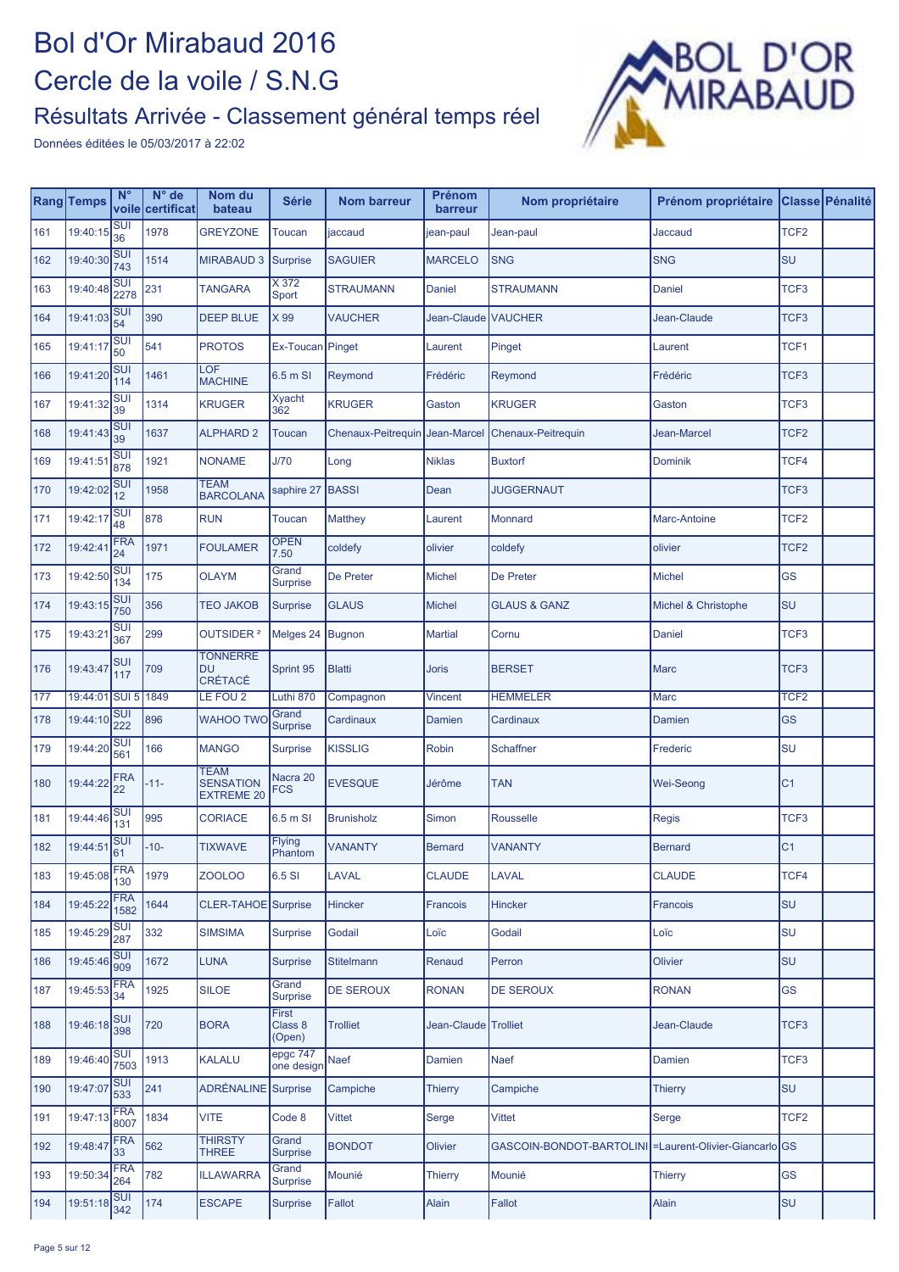

|     | Rang Temps     | $N^{\circ}$                    | $N^{\circ}$ de<br>voile certificat | Nom du<br>bateau                                     | <b>Série</b>               | <b>Nom barreur</b>             | <b>Prénom</b><br>barreur | Nom propriétaire                                          | Prénom propriétaire |                  | Classe Pénalité |
|-----|----------------|--------------------------------|------------------------------------|------------------------------------------------------|----------------------------|--------------------------------|--------------------------|-----------------------------------------------------------|---------------------|------------------|-----------------|
| 161 | 19:40:15       | SUI<br>36                      | 1978                               | <b>GREYZONE</b>                                      | Toucan                     | jaccaud                        | jean-paul                | Jean-paul                                                 | Jaccaud             | TCF <sub>2</sub> |                 |
| 162 | 19:40:30       | SUI<br>743                     | 1514                               | <b>MIRABAUD 3</b>                                    | Surprise                   | <b>SAGUIER</b>                 | <b>MARCELO</b>           | <b>SNG</b>                                                | <b>SNG</b>          | <b>SU</b>        |                 |
| 163 | 19:40:48       | <b>SUI</b><br>2278             | 231                                | <b>TANGARA</b>                                       | X 372<br>Sport             | <b>STRAUMANN</b>               | Daniel                   | <b>STRAUMANN</b>                                          | Daniel              | TCF3             |                 |
| 164 | 19:41:03       | <b>SUI</b><br>54               | 390                                | <b>DEEP BLUE</b>                                     | X 99                       | <b>VAUCHER</b>                 | Jean-Claude VAUCHER      |                                                           | Jean-Claude         | TCF3             |                 |
| 165 | 19:41:17       | <b>SUI</b><br>50               | 541                                | <b>PROTOS</b>                                        | Ex-Toucan                  | Pinget                         | Laurent                  | Pinget                                                    | Laurent             | TCF1             |                 |
| 166 | 19:41:20       | <b>SUI</b><br>114              | 1461                               | LOF<br><b>MACHINE</b>                                | 6.5 m SI                   | Reymond                        | Frédéric                 | Reymond                                                   | Frédéric            | TCF3             |                 |
| 167 | 19:41:32       | <b>SUI</b><br>39               | 1314                               | <b>KRUGER</b>                                        | <b>Xyacht</b><br>362       | <b>KRUGER</b>                  | Gaston                   | <b>KRUGER</b>                                             | Gaston              | TCF3             |                 |
| 168 | 19:41:43       | <b>SUI</b><br>39               | 1637                               | <b>ALPHARD 2</b>                                     | Toucan                     | Chenaux-Peitrequin Jean-Marcel |                          | Chenaux-Peitrequin                                        | Jean-Marcel         | TCF <sub>2</sub> |                 |
| 169 | 19:41:51       | <b>SUI</b><br>878              | 1921                               | <b>NONAME</b>                                        | J/70                       | Long                           | <b>Niklas</b>            | <b>Buxtorf</b>                                            | <b>Dominik</b>      | TCF4             |                 |
| 170 | 19:42:02       | <b>SUI</b><br>12               | 1958                               | <b>TEAM</b><br><b>BARCOLANA</b>                      | saphire 27                 | <b>BASSI</b>                   | Dean                     | <b>JUGGERNAUT</b>                                         |                     | TCF3             |                 |
| 171 | 19:42:17       | <b>SUI</b><br>48               | 878                                | <b>RUN</b>                                           | Toucan                     | <b>Matthey</b>                 | Laurent                  | <b>Monnard</b>                                            | <b>Marc-Antoine</b> | TCF <sub>2</sub> |                 |
| 172 | 19:42:41       | <b>FRA</b><br>24               | 1971                               | <b>FOULAMER</b>                                      | <b>OPEN</b><br>7.50        | coldefy                        | olivier                  | coldefy                                                   | olivier             | TCF <sub>2</sub> |                 |
| 173 | 19:42:50       | <b>SUI</b><br>134              | 175                                | <b>OLAYM</b>                                         | Grand<br><b>Surprise</b>   | De Preter                      | <b>Michel</b>            | De Preter                                                 | <b>Michel</b>       | GS               |                 |
| 174 | 19:43:15       | <b>SUI</b><br>750              | 356                                | <b>TEO JAKOB</b>                                     | <b>Surprise</b>            | <b>GLAUS</b>                   | Michel                   | <b>GLAUS &amp; GANZ</b>                                   | Michel & Christophe | <b>SU</b>        |                 |
| 175 | 19:43:21       | <b>SUI</b><br>367              | 299                                | OUTSIDER <sup>2</sup>                                | Melges 24                  | Bugnon                         | <b>Martial</b>           | Cornu                                                     | Daniel              | TCF <sub>3</sub> |                 |
| 176 | 19:43:47       | <b>SUI</b><br>117              | 709                                | <b>TONNERRE</b><br><b>DU</b><br>CRÉTACÉ              | Sprint 95                  | <b>Blatti</b>                  | <b>Joris</b>             | <b>BERSET</b>                                             | <b>Marc</b>         | TCF3             |                 |
| 177 | 19:44:01 SUI 5 |                                | 1849                               | LE FOU 2                                             | Luthi 870                  | Compagnon                      | <b>Vincent</b>           | <b>HEMMELER</b>                                           | <b>Marc</b>         | TCF <sub>2</sub> |                 |
| 178 | 19:44:10       | <b>SUI</b><br>222              | 896                                | <b>WAHOO TWO</b>                                     | Grand<br><b>Surprise</b>   | Cardinaux                      | Damien                   | Cardinaux                                                 | <b>Damien</b>       | <b>GS</b>        |                 |
| 179 | 19:44:20       | <b>SUI</b><br>561              | 166                                | <b>MANGO</b>                                         | <b>Surprise</b>            | <b>KISSLIG</b>                 | Robin                    | <b>Schaffner</b>                                          | Frederic            | SU               |                 |
| 180 | 19:44:22       | <b>FRA</b><br>22               | $-11-$                             | <b>TEAM</b><br><b>SENSATION</b><br><b>EXTREME 20</b> | Nacra 20<br>FCS            | <b>EVESQUE</b>                 | Jérôme                   | <b>TAN</b>                                                | Wei-Seong           | C <sub>1</sub>   |                 |
| 181 | 19:44:46       | $\overline{\text{SUI}}$<br>131 | 995                                | <b>CORIACE</b>                                       | 6.5 m SI                   | <b>Brunisholz</b>              | Simon                    | <b>Rousselle</b>                                          | Regis               | TCF3             |                 |
| 182 | 19:44:51       | <b>SU</b><br>61                | $-10-$                             | <b>TIXWAVE</b>                                       | Flying<br>Phantom          | <b>VANANTY</b>                 | <b>Bernard</b>           | <b>VANANTY</b>                                            | <b>Bernard</b>      | C <sub>1</sub>   |                 |
| 183 | 19:45:08       | <b>FRA</b><br>130              | 1979                               | ZOOLOO                                               | 6.5 SI                     | <b>LAVAL</b>                   | <b>CLAUDE</b>            | LAVAL                                                     | <b>CLAUDE</b>       | TCF4             |                 |
| 184 | 19:45:22       | <b>FRA</b><br>1582             | 1644                               | CLER-TAHOE Surprise                                  |                            | <b>Hincker</b>                 | Francois                 | <b>Hincker</b>                                            | Francois            | <b>SU</b>        |                 |
| 185 | 19:45:29       | Sui<br>287                     | 332                                | <b>SIMSIMA</b>                                       | <b>Surprise</b>            | Godail                         | Loïc                     | Godail                                                    | Loïc                | lsu              |                 |
| 186 | 19:45:46       | <b>SUI</b><br>909              | 1672                               | <b>LUNA</b>                                          | <b>Surprise</b>            | <b>Stitelmann</b>              | Renaud                   | Perron                                                    | <b>Olivier</b>      | lsu              |                 |
| 187 | 19:45:53       | <b>FRA</b><br>34               | 1925                               | <b>SILOE</b>                                         | Grand<br>Surprise          | <b>DE SEROUX</b>               | <b>RONAN</b>             | <b>DE SEROUX</b>                                          | <b>RONAN</b>        | <b>GS</b>        |                 |
| 188 | 19:46:18       | <b>SUI</b><br>398              | 720                                | <b>BORA</b>                                          | First<br>Class 8<br>(Open) | <b>Trolliet</b>                | Jean-Claude Trolliet     |                                                           | Jean-Claude         | TCF3             |                 |
| 189 | 19:46:40       | Sui<br>7503                    | 1913                               | <b>KALALU</b>                                        | epgc 747<br>one design     | Naef                           | Damien                   | <b>Naef</b>                                               | <b>Damien</b>       | TCF <sub>3</sub> |                 |
| 190 | 19:47:07       | <b>SUI</b><br>533              | 241                                | ADRÉNALINE Surprise                                  |                            | Campiche                       | <b>Thierry</b>           | Campiche                                                  | <b>Thierry</b>      | lsu              |                 |
| 191 | 19:47:13       | <b>FRA</b><br>8007             | 1834                               | <b>VITE</b>                                          | Code 8                     | Vittet                         | Serge                    | <b>Vittet</b>                                             | Serge               | TCF <sub>2</sub> |                 |
| 192 | 19:48:47       | <b>FRA</b><br>33               | 562                                | <b>THIRSTY</b><br><b>THREE</b>                       | Grand<br><b>Surprise</b>   | <b>BONDOT</b>                  | Olivier                  | GASCOIN-BONDOT-BARTOLINI   = Laurent-Olivier-Giancarlo GS |                     |                  |                 |
| 193 | 19:50:34       | <b>FRA</b><br>264              | 782                                | <b>ILLAWARRA</b>                                     | Grand<br><b>Surprise</b>   | Mounié                         | <b>Thierry</b>           | Mounié                                                    | <b>Thierry</b>      | <b>GS</b>        |                 |
| 194 | 19:51:18       | <b>SUI</b><br>342              | 174                                | <b>ESCAPE</b>                                        | <b>Surprise</b>            | Fallot                         | Alain                    | Fallot                                                    | Alain               | SU               |                 |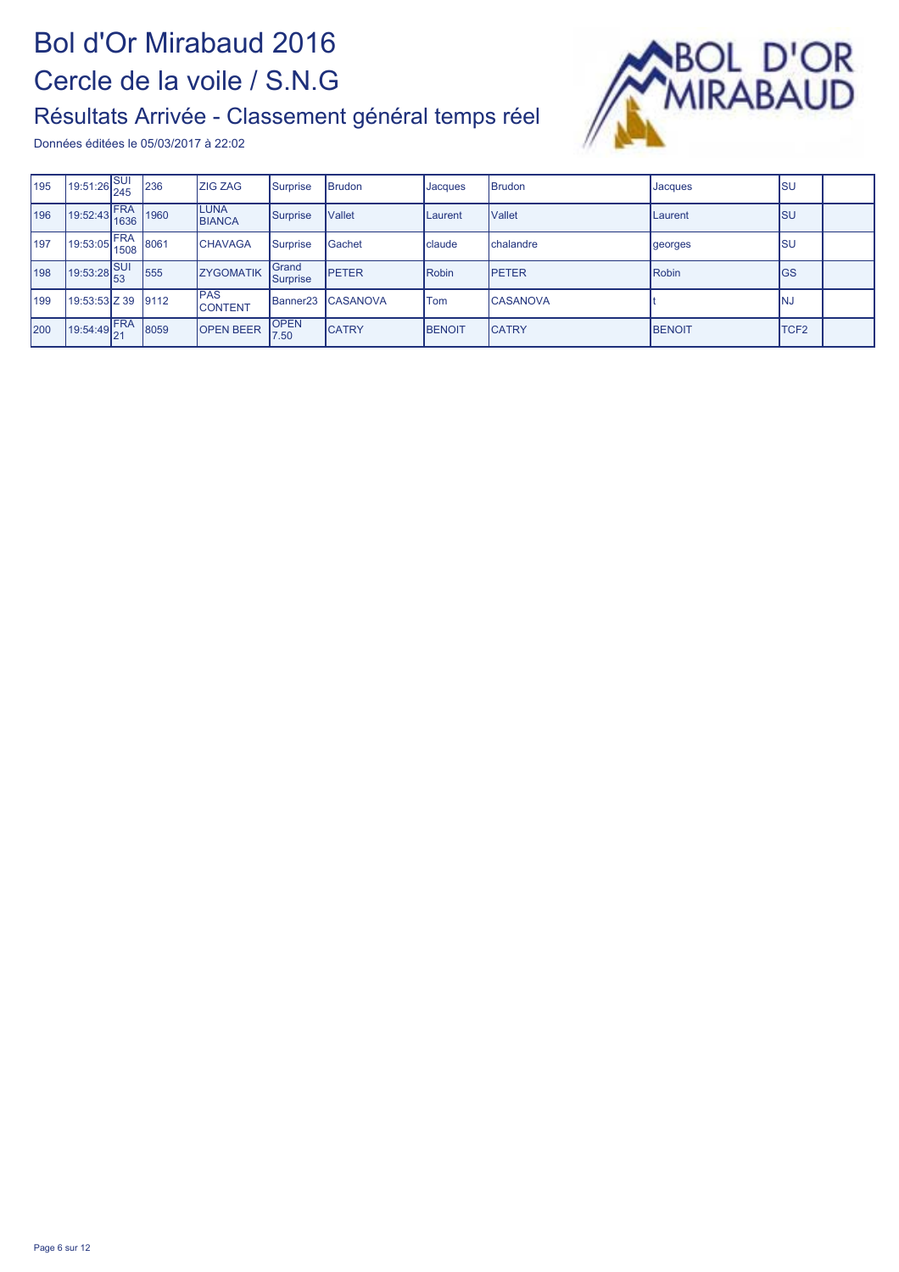

| 195        | 19:51:26 SUI                                     |             | 236   | <b>ZIG ZAG</b>                | Surprise             | <b>Brudon</b>    | <b>Jacques</b> | <b>Brudon</b>   | Jacques         | <b>ISU</b>  |  |
|------------|--------------------------------------------------|-------------|-------|-------------------------------|----------------------|------------------|----------------|-----------------|-----------------|-------------|--|
| 196        | 19:52:43 FRA                                     |             | 1960  | <b>LUNA</b><br><b>BIANCA</b>  | Surprise             | <b>Vallet</b>    | <b>Laurent</b> | <b>Vallet</b>   | <b>ILaurent</b> | <b>ISU</b>  |  |
| <b>197</b> | 19:53:05                                         | FRA<br>1508 | 8061  | <b>CHAVAGA</b>                | Surprise             | Gachet           | claude         | chalandre       | georges         | Isu         |  |
| 198        | $19:53:28\begin{bmatrix} 36 \\ 53 \end{bmatrix}$ | <b>SUI</b>  | 555   | <b>ZYGOMATIK</b>              | Grand<br>Surprise    | <b>IPETER</b>    | Robin          | <b>IPETER</b>   | Robin           | IGS         |  |
| 199        | 19:53:53 Z 39                                    |             | 19112 | <b>IPAS</b><br><b>CONTENT</b> | Banner <sub>23</sub> | <b>ICASANOVA</b> | <b>Tom</b>     | <b>CASANOVA</b> |                 | INJ         |  |
| <b>200</b> | 19:54:49 FRA                                     |             | 8059  | <b>OPEN BEER</b>              | <b>OPEN</b><br>7.50  | <b>CATRY</b>     | <b>BENOIT</b>  | <b>CATRY</b>    | <b>IBENOIT</b>  | <b>TCF2</b> |  |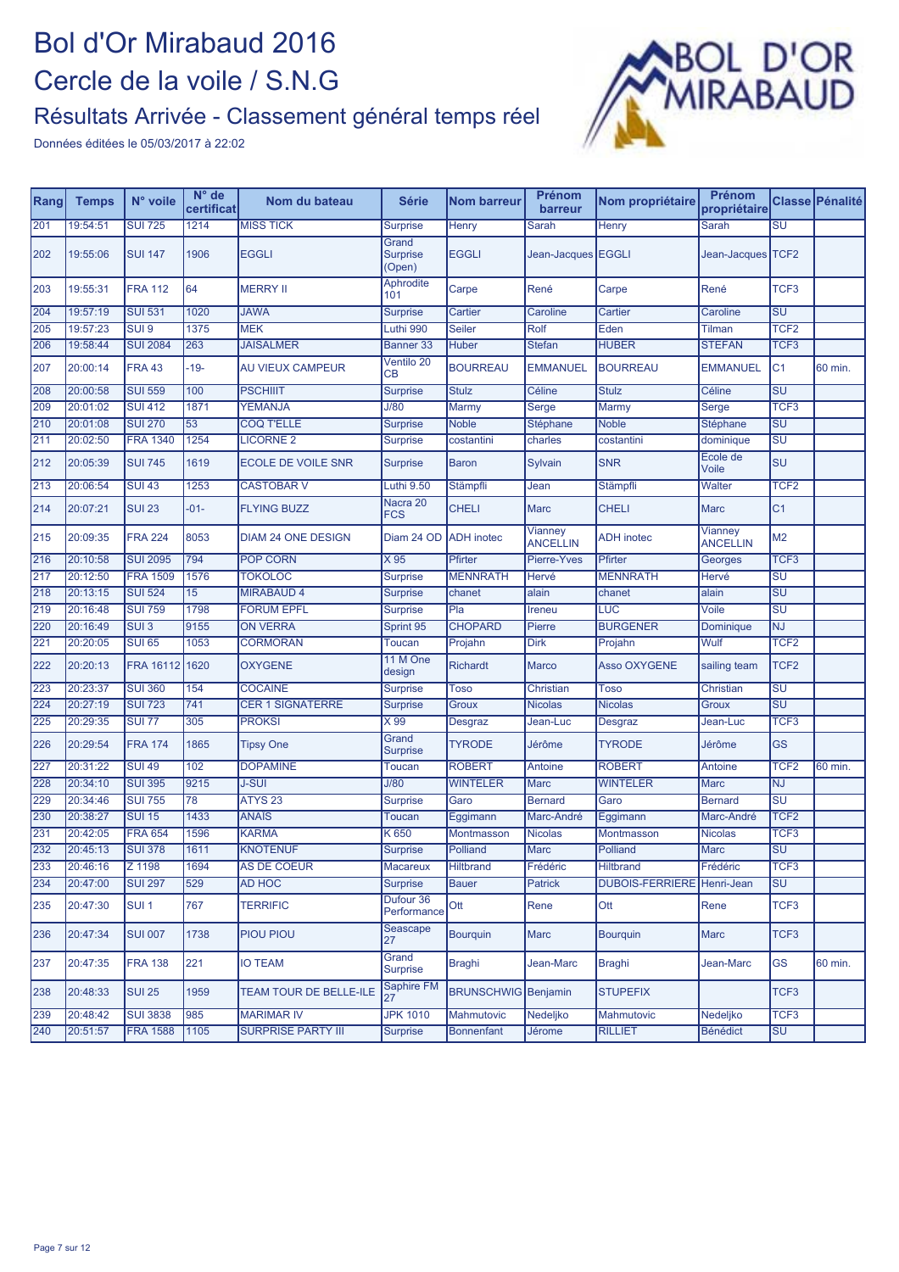

| Rang | <b>Temps</b> | N° voile         | $N^{\circ}$ de<br>certificat | Nom du bateau                 | <b>Série</b>                       | <b>Nom barreur</b>         | Prénom<br>barreur          | Nom propriétaire           | Prénom<br>propriétaire     |                                   | Classe Pénalité |
|------|--------------|------------------|------------------------------|-------------------------------|------------------------------------|----------------------------|----------------------------|----------------------------|----------------------------|-----------------------------------|-----------------|
| 201  | 19:54:51     | <b>SUI 725</b>   | 1214                         | <b>MISS TICK</b>              | <b>Surprise</b>                    | Henry                      | <b>Sarah</b>               | <b>Henry</b>               | Sarah                      | $\overline{\text{SU}}$            |                 |
| 202  | 19:55:06     | <b>SUI 147</b>   | 1906                         | <b>EGGLI</b>                  | Grand<br><b>Surprise</b><br>(Open) | <b>EGGLI</b>               | Jean-Jacques EGGLI         |                            | Jean-Jacques TCF2          |                                   |                 |
| 203  | 19:55:31     | <b>FRA 112</b>   | 64                           | <b>MERRY II</b>               | <b>Aphrodite</b><br>101            | Carpe                      | René                       | Carpe                      | René                       | TCF <sub>3</sub>                  |                 |
| 204  | 19:57:19     | <b>SUI 531</b>   | 1020                         | <b>JAWA</b>                   | <b>Surprise</b>                    | Cartier                    | Caroline                   | Cartier                    | Caroline                   | <b>SU</b>                         |                 |
| 205  | 19:57:23     | SUI 9            | 1375                         | <b>MEK</b>                    | Luthi 990                          | <b>Seiler</b>              | Rolf                       | Eden                       | Tilman                     | TCF <sub>2</sub>                  |                 |
| 206  | 19:58:44     | <b>SUI 2084</b>  | 263                          | <b>JAISALMER</b>              | <b>Banner 33</b>                   | <b>Huber</b>               | <b>Stefan</b>              | <b>HUBER</b>               | <b>STEFAN</b>              | TCF <sub>3</sub>                  |                 |
| 207  | 20:00:14     | <b>FRA 43</b>    | $-19-$                       | <b>AU VIEUX CAMPEUR</b>       | Ventilo 20<br><b>CB</b>            | <b>BOURREAU</b>            | <b>EMMANUEL</b>            | <b>BOURREAU</b>            | <b>EMMANUEL</b>            | C <sub>1</sub>                    | 60 min.         |
| 208  | 20:00:58     | <b>SUI 559</b>   | 100                          | <b>PSCHIIIT</b>               | <b>Surprise</b>                    | <b>Stulz</b>               | Céline                     | <b>Stulz</b>               | Céline                     | $\overline{\mathsf{SU}}$          |                 |
| 209  | 20:01:02     | <b>SUI 412</b>   | 1871                         | <b>YEMANJA</b>                | J/80                               | Marmy                      | Serge                      | Marmy                      | Serge                      | TCF <sub>3</sub>                  |                 |
| 210  | 20:01:08     | <b>SUI 270</b>   | 53                           | <b>COQ T'ELLE</b>             | <b>Surprise</b>                    | <b>Noble</b>               | Stéphane                   | <b>Noble</b>               | Stéphane                   | $\overline{\mathsf{S}\mathsf{U}}$ |                 |
| 211  | 20:02:50     | <b>FRA 1340</b>  | 1254                         | <b>LICORNE 2</b>              | <b>Surprise</b>                    | costantini                 | charles                    | costantini                 | dominique                  | $\overline{\mathsf{S}\mathsf{U}}$ |                 |
| 212  | 20:05:39     | <b>SUI 745</b>   | 1619                         | ECOLE DE VOILE SNR            | <b>Surprise</b>                    | <b>Baron</b>               | Sylvain                    | <b>SNR</b>                 | Ecole de<br>Voile          | <b>SU</b>                         |                 |
| 213  | 20:06:54     | <b>SUI 43</b>    | 1253                         | <b>CASTOBAR V</b>             | Luthi 9.50                         | Stämpfli                   | Jean                       | <b>Stämpfli</b>            | Walter                     | TCF <sub>2</sub>                  |                 |
| 214  | 20:07:21     | <b>SUI 23</b>    | $-01-$                       | <b>FLYING BUZZ</b>            | Nacra 20<br><b>FCS</b>             | <b>CHELI</b>               | <b>Marc</b>                | <b>CHELI</b>               | <b>Marc</b>                | C <sub>1</sub>                    |                 |
| 215  | 20:09:35     | <b>FRA 224</b>   | 8053                         | <b>DIAM 24 ONE DESIGN</b>     | Diam 24 OD                         | <b>ADH</b> inotec          | Vianney<br><b>ANCELLIN</b> | <b>ADH</b> inotec          | Vianney<br><b>ANCELLIN</b> | M <sub>2</sub>                    |                 |
| 216  | 20:10:58     | <b>SUI 2095</b>  | 794                          | <b>POP CORN</b>               | X95                                | Pfirter                    | Pierre-Yves                | Pfirter                    | Georges                    | TCF <sub>3</sub>                  |                 |
| 217  | 20:12:50     | <b>FRA 1509</b>  | 1576                         | <b>TOKOLOC</b>                | <b>Surprise</b>                    | <b>MENNRATH</b>            | Hervé                      | <b>MENNRATH</b>            | Hervé                      | $\overline{\mathsf{S}\mathsf{U}}$ |                 |
| 218  | 20:13:15     | <b>SUI 524</b>   | 15                           | <b>MIRABAUD 4</b>             | <b>Surprise</b>                    | chanet                     | alain                      | chanet                     | alain                      | SU                                |                 |
| 219  | 20:16:48     | <b>SUI 759</b>   | 1798                         | <b>FORUM EPFL</b>             | <b>Surprise</b>                    | PIa                        | Ireneu                     | LUC                        | Voile                      | $\overline{\mathsf{S}\mathsf{U}}$ |                 |
| 220  | 20:16:49     | $SUI$ 3          | 9155                         | <b>ON VERRA</b>               | Sprint 95                          | <b>CHOPARD</b>             | Pierre                     | <b>BURGENER</b>            | Dominique                  | <b>NJ</b>                         |                 |
| 221  | 20:20:05     | <b>SUI 65</b>    | 1053                         | <b>CORMORAN</b>               | <b>Toucan</b>                      | Projahn                    | Dirk                       | Projahn                    | Wulf                       | TCF <sub>2</sub>                  |                 |
| 222  | 20:20:13     | FRA 16112 1620   |                              | <b>OXYGENE</b>                | 11 M One<br>design                 | <b>Richardt</b>            | <b>Marco</b>               | <b>Asso OXYGENE</b>        | sailing team               | TCF <sub>2</sub>                  |                 |
| 223  | 20:23:37     | <b>SUI 360</b>   | 154                          | <b>COCAINE</b>                | <b>Surprise</b>                    | <b>Toso</b>                | Christian                  | <b>Toso</b>                | <b>Christian</b>           | SU                                |                 |
| 224  | 20:27:19     | <b>SUI 723</b>   | 741                          | <b>CER 1 SIGNATERRE</b>       | <b>Surprise</b>                    | <b>Groux</b>               | <b>Nicolas</b>             | <b>Nicolas</b>             | Groux                      | $\overline{\mathsf{S}\mathsf{U}}$ |                 |
| 225  | 20:29:35     | <b>SUI 77</b>    | 305                          | <b>PROKSI</b>                 | $\times 99$                        | Desgraz                    | Jean-Luc                   | Desgraz                    | Jean-Luc                   | TCF <sub>3</sub>                  |                 |
| 226  | 20:29:54     | <b>FRA 174</b>   | 1865                         | <b>Tipsy One</b>              | Grand<br><b>Surprise</b>           | <b>TYRODE</b>              | Jérôme                     | <b>TYRODE</b>              | Jérôme                     | <b>GS</b>                         |                 |
| 227  | 20:31:22     | <b>SUI 49</b>    | 102                          | <b>DOPAMINE</b>               | <b>Toucan</b>                      | <b>ROBERT</b>              | Antoine                    | <b>ROBERT</b>              | Antoine                    | TCF <sub>2</sub>                  | 60 min.         |
| 228  | 20:34:10     | <b>SUI 395</b>   | 9215                         | <b>J-SUI</b>                  | J/80                               | <b>WINTELER</b>            | <b>Marc</b>                | <b>WINTELER</b>            | <b>Marc</b>                | <b>NJ</b>                         |                 |
| 229  | 20:34:46     | <b>SUI 755</b>   | 78                           | ATYS <sub>23</sub>            | <b>Surprise</b>                    | Garo                       | <b>Bernard</b>             | Garo                       | <b>Bernard</b>             | SU                                |                 |
| 230  | 20:38:27     | <b>SUI 15</b>    | 1433                         | <b>ANAÏS</b>                  | <b>Toucan</b>                      | Eggimann                   | Marc-André                 | Eggimann                   | Marc-André                 | TCF <sub>2</sub>                  |                 |
| 231  | 20:42:05     | <b>FRA 654</b>   | 1596                         | <b>KARMA</b>                  | K 650                              | Montmasson                 | <b>Nicolas</b>             | Montmasson                 | <b>Nicolas</b>             | TCF <sub>3</sub>                  |                 |
| 232  | 20:45:13     | <b>SUI 378</b>   | 1611                         | <b>KNOTENUF</b>               | <b>Surprise</b>                    | Polliand                   | <b>Marc</b>                | Polliand                   | <b>Marc</b>                | $\overline{\mathsf{S}\mathsf{U}}$ |                 |
| 233  | 20:46:16     | Z 1198           | 1694                         | AS DE COEUR                   | Macareux                           | <b>Hiltbrand</b>           | Frédéric                   | <b>Hiltbrand</b>           | Frédéric                   | TCF <sub>3</sub>                  |                 |
| 234  | 20:47:00     | <b>SUI 297</b>   | 529                          | AD HOC                        | <b>Surprise</b>                    | <b>Bauer</b>               | Patrick                    | DUBOIS-FERRIERE Henri-Jean |                            | <b>SU</b>                         |                 |
| 235  | 20:47:30     | SUI <sub>1</sub> | 767                          | <b>TERRIFIC</b>               | Dufour 36<br>Performance           | Ott                        | Rene                       | Ott                        | Rene                       | TCF <sub>3</sub>                  |                 |
| 236  | 20:47:34     | <b>SUI 007</b>   | 1738                         | PIOU PIOU                     | Seascape<br>27                     | <b>Bourguin</b>            | Marc                       | <b>Bourquin</b>            | Marc                       | TCF <sub>3</sub>                  |                 |
| 237  | 20:47:35     | <b>FRA 138</b>   | 221                          | IO TEAM                       | Grand<br>Surprise                  | Braghi                     | Jean-Marc                  | Braghi                     | Jean-Marc                  | GS                                | 60 min.         |
| 238  | 20:48:33     | <b>SUI 25</b>    | 1959                         | <b>TEAM TOUR DE BELLE-ILE</b> | <b>Saphire FM</b><br>27            | <b>BRUNSCHWIG</b> Benjamin |                            | <b>STUPEFIX</b>            |                            | TCF <sub>3</sub>                  |                 |
| 239  | 20:48:42     | <b>SUI 3838</b>  | 985                          | <b>MARIMAR IV</b>             | <b>JPK 1010</b>                    | Mahmutovic                 | Nedeljko                   | <b>Mahmutovic</b>          | Nedeljko                   | TCF <sub>3</sub>                  |                 |
| 240  | 20:51:57     | <b>FRA 1588</b>  | 1105                         | <b>SURPRISE PARTY III</b>     | <b>Surprise</b>                    | <b>Bonnenfant</b>          | Jérome                     | <b>RILLIET</b>             | <b>Bénédict</b>            | <b>SU</b>                         |                 |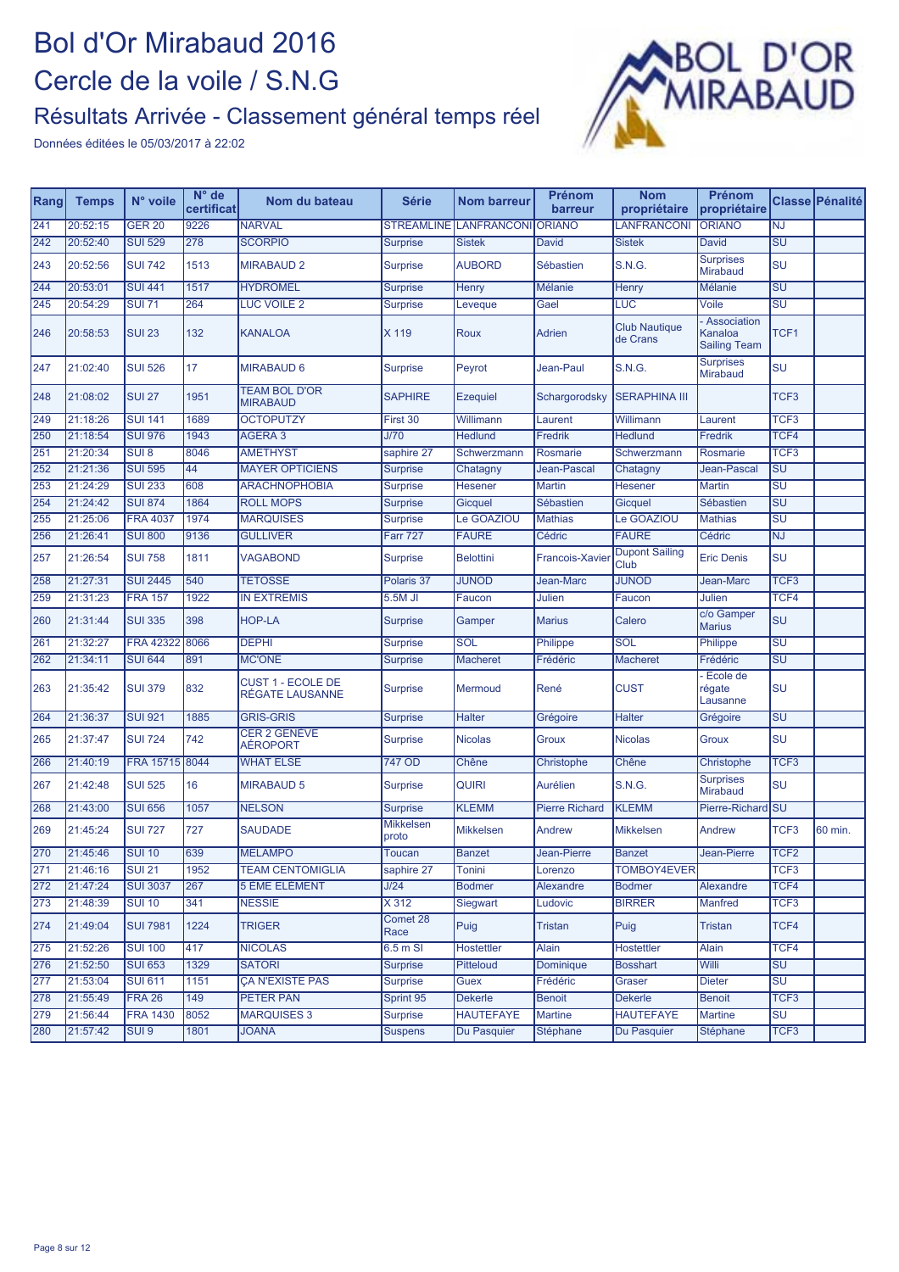

| Rang | <b>Temps</b> | N° voile         | $N^{\circ}$ de<br>certificat | Nom du bateau                               | <b>Série</b>              | <b>Nom barreur</b> | <b>Prénom</b><br>barreur | <b>Nom</b><br>propriétaire       | Prénom<br>propriétaire                        |                                   | Classe Pénalité |
|------|--------------|------------------|------------------------------|---------------------------------------------|---------------------------|--------------------|--------------------------|----------------------------------|-----------------------------------------------|-----------------------------------|-----------------|
| 241  | 20:52:15     | <b>GER 20</b>    | 9226                         | <b>NARVAL</b>                               | <b>STREAMLINE</b>         | <b>LANFRANCONI</b> | <b>ORIANO</b>            | LANFRANCONI                      | <b>ORIANO</b>                                 | <b>NJ</b>                         |                 |
| 242  | 20:52:40     | <b>SUI 529</b>   | 278                          | <b>SCORPIO</b>                              | <b>Surprise</b>           | <b>Sistek</b>      | David                    | <b>Sistek</b>                    | David                                         | SU                                |                 |
| 243  | 20:52:56     | <b>SUI 742</b>   | 1513                         | <b>MIRABAUD 2</b>                           | <b>Surprise</b>           | <b>AUBORD</b>      | Sébastien                | <b>S.N.G.</b>                    | <b>Surprises</b><br><b>Mirabaud</b>           | SU                                |                 |
| 244  | 20:53:01     | <b>SUI 441</b>   | 1517                         | <b>HYDROMEL</b>                             | <b>Surprise</b>           | <b>Henry</b>       | <b>Mélanie</b>           | Henry                            | <b>Mélanie</b>                                | SU                                |                 |
| 245  | 20:54:29     | <b>SUI 71</b>    | 264                          | LUC VOILE 2                                 | <b>Surprise</b>           | <b>Leveque</b>     | Gael                     | LUC                              | Voile                                         | $\overline{\mathsf{SU}}$          |                 |
| 246  | 20:58:53     | <b>SUI 23</b>    | 132                          | <b>KANALOA</b>                              | X 119                     | Roux               | Adrien                   | <b>Club Nautique</b><br>de Crans | Association<br>Kanaloa<br><b>Sailing Team</b> | TCF1                              |                 |
| 247  | 21:02:40     | <b>SUI 526</b>   | 17                           | <b>MIRABAUD 6</b>                           | <b>Surprise</b>           | Peyrot             | Jean-Paul                | <b>S.N.G.</b>                    | <b>Surprises</b><br>Mirabaud                  | SU                                |                 |
| 248  | 21:08:02     | <b>SUI 27</b>    | 1951                         | <b>TEAM BOL D'OR</b><br><b>MIRABAUD</b>     | <b>SAPHIRE</b>            | <b>Ezequiel</b>    | Schargorodsky            | <b>SERAPHINA III</b>             |                                               | TCF <sub>3</sub>                  |                 |
| 249  | 21:18:26     | <b>SUI 141</b>   | 1689                         | <b>OCTOPUTZY</b>                            | First 30                  | Willimann          | Laurent                  | Willimann                        | _aurent                                       | TCF <sub>3</sub>                  |                 |
| 250  | 21:18:54     | <b>SUI 976</b>   | 1943                         | AGERA 3                                     | J/70                      | <b>Hedlund</b>     | Fredrik                  | <b>Hedlund</b>                   | <b>Fredrik</b>                                | TCF <sub>4</sub>                  |                 |
| 251  | 21:20:34     | SUI <sub>8</sub> | 8046                         | <b>AMETHYST</b>                             | saphire 27                | Schwerzmann        | Rosmarie                 | Schwerzmann                      | Rosmarie                                      | TCF <sub>3</sub>                  |                 |
| 252  | 21:21:36     | <b>SUI 595</b>   | 44                           | <b>MAYER OPTICIENS</b>                      | <b>Surprise</b>           | Chatagny           | Jean-Pascal              | Chatagny                         | Jean-Pascal                                   | $\overline{\mathsf{SU}}$          |                 |
| 253  | 21:24:29     | <b>SUI 233</b>   | 608                          | <b>ARACHNOPHOBIA</b>                        | <b>Surprise</b>           | Hesener            | <b>Martin</b>            | <b>Hesener</b>                   | <b>Martin</b>                                 | $\overline{\mathsf{S}\mathsf{U}}$ |                 |
| 254  | 21:24:42     | <b>SUI 874</b>   | 1864                         | <b>ROLL MOPS</b>                            | <b>Surprise</b>           | Gicquel            | Sébastien                | Gicquel                          | Sébastien                                     | SU                                |                 |
| 255  | 21:25:06     | <b>FRA 4037</b>  | 1974                         | <b>MARQUISES</b>                            | <b>Surprise</b>           | <b>Le GOAZIOU</b>  | <b>Mathias</b>           | Le GOAZIOU                       | <b>Mathias</b>                                | SU                                |                 |
| 256  | 21:26:41     | <b>SUI 800</b>   | 9136                         | <b>GULLIVER</b>                             | <b>Farr 727</b>           | <b>FAURE</b>       | Cédric                   | <b>FAURE</b>                     | Cédric                                        | <b>NJ</b>                         |                 |
| 257  | 21:26:54     | <b>SUI 758</b>   | 1811                         | <b>VAGABOND</b>                             | <b>Surprise</b>           | <b>Belottini</b>   | <b>Francois-Xavier</b>   | <b>Dupont Sailing</b><br>Club    | <b>Eric Denis</b>                             | SU                                |                 |
| 258  | 21:27:31     | <b>SUI 2445</b>  | 540                          | <b>TETOSSE</b>                              | Polaris 37                | <b>JUNOD</b>       | Jean-Marc                | <b>JUNOD</b>                     | Jean-Marc                                     | TCF <sub>3</sub>                  |                 |
| 259  | 21:31:23     | <b>FRA 157</b>   | 1922                         | <b>IN EXTREMIS</b>                          | 5.5M JI                   | Faucon             | Julien                   | Faucon                           | Julien                                        | TCF4                              |                 |
| 260  | 21:31:44     | <b>SUI 335</b>   | 398                          | <b>HOP-LA</b>                               | <b>Surprise</b>           | Gamper             | <b>Marius</b>            | Calero                           | c/o Gamper<br><b>Marius</b>                   | lsu                               |                 |
| 261  | 21:32:27     | <b>FRA 42322</b> | 8066                         | <b>DEPHI</b>                                | <b>Surprise</b>           | SOL                | Philippe                 | SOL                              | Philippe                                      | SU                                |                 |
| 262  | 21:34:11     | <b>SUI 644</b>   | 891                          | <b>MC'ONE</b>                               | <b>Surprise</b>           | <b>Macheret</b>    | Frédéric                 | <b>Macheret</b>                  | Frédéric                                      | SU                                |                 |
| 263  | 21:35:42     | <b>SUI 379</b>   | 832                          | <b>CUST 1 - ECOLE DE</b><br>RÉGATE LAUSANNE | <b>Surprise</b>           | Mermoud            | René                     | <b>CUST</b>                      | Ecole de<br>régate<br>Lausanne                | SU                                |                 |
| 264  | 21:36:37     | <b>SUI 921</b>   | 1885                         | <b>GRIS-GRIS</b>                            | <b>Surprise</b>           | <b>Halter</b>      | Grégoire                 | <b>Halter</b>                    | Grégoire                                      | $\overline{\mathsf{SU}}$          |                 |
| 265  | 21:37:47     | <b>SUI 724</b>   | 742                          | <b>CER 2 GENÈVE</b><br>AÉROPORT             | Surprise                  | <b>Nicolas</b>     | Groux                    | <b>Nicolas</b>                   | Groux                                         | SU                                |                 |
| 266  | 21:40:19     | FRA 15715        | 8044                         | <b>WHAT ELSE</b>                            | 747 OD                    | Chêne              | Christophe               | Chêne                            | Christophe                                    | TCF <sub>3</sub>                  |                 |
| 267  | 21:42:48     | <b>SUI 525</b>   | 16                           | <b>MIRABAUD 5</b>                           | <b>Surprise</b>           | <b>QUIRI</b>       | <b>Aurélien</b>          | <b>S.N.G.</b>                    | <b>Surprises</b><br><b>Mirabaud</b>           | SU                                |                 |
| 268  | 21:43:00     | <b>SUI 656</b>   | 1057                         | <b>NELSON</b>                               | <b>Surprise</b>           | <b>KLEMM</b>       | <b>Pierre Richard</b>    | <b>KLEMM</b>                     | Pierre-Richard                                | <b>ISU</b>                        |                 |
| 269  | 21:45:24     | <b>SUI 727</b>   | 727                          | <b>SAUDADE</b>                              | <b>Mikkelsen</b><br>proto | <b>Mikkelsen</b>   | Andrew                   | <b>Mikkelsen</b>                 | Andrew                                        | TCF3                              | 60 min.         |
| 270  | 21:45:46     | <b>SUI 10</b>    | 639                          | <b>MELAMPO</b>                              | Toucan                    | <b>Banzet</b>      | Jean-Pierre              | <b>Banzet</b>                    | Jean-Pierre                                   | TCF <sub>2</sub>                  |                 |
| 271  | 21:46:16     | <b>SUI 21</b>    | 1952                         | <b>TEAM CENTOMIGLIA</b>                     | saphire 27                | Tonini             | Lorenzo                  | TOMBOY4EVER                      |                                               | TCF <sub>3</sub>                  |                 |
| 272  | 21:47:24     | <b>SUI 3037</b>  | 267                          | 5 ÈME ELÉMENT                               | J/24                      | <b>Bodmer</b>      | Alexandre                | <b>Bodmer</b>                    | Alexandre                                     | TCF4                              |                 |
| 273  | 21:48:39     | <b>SUI 10</b>    | 341                          | <b>NESSIE</b>                               | X312                      | Siegwart           | Ludovic                  | <b>BIRRER</b>                    | <b>Manfred</b>                                | TCF3                              |                 |
| 274  | 21:49:04     | <b>SUI 7981</b>  | 1224                         | <b>TRIGER</b>                               | Comet 28<br>Race          | Puig               | <b>Tristan</b>           | Puig                             | Tristan                                       | TCF4                              |                 |
| 275  | 21:52:26     | <b>SUI 100</b>   | 417                          | <b>NICOLAS</b>                              | $6.5m$ SI                 | <b>Hostettler</b>  | <b>Alain</b>             | <b>Hostettler</b>                | Alain                                         | TCF4                              |                 |
| 276  | 21:52:50     | <b>SUI 653</b>   | 1329                         | <b>SATORI</b>                               | <b>Surprise</b>           | Pitteloud          | Dominique                | <b>Bosshart</b>                  | Willi                                         | <b>SU</b>                         |                 |
| 277  | 21:53:04     | <b>SUI 611</b>   | 1151                         | <b>ÇA N'EXISTE PAS</b>                      | <b>Surprise</b>           | Guex               | Frédéric                 | Graser                           | Dieter                                        | SU                                |                 |
| 278  | 21:55:49     | <b>FRA 26</b>    | 149                          | <b>PETER PAN</b>                            | Sprint 95                 | <b>Dekerle</b>     | <b>Benoit</b>            | <b>Dekerle</b>                   | <b>Benoit</b>                                 | TCF <sub>3</sub>                  |                 |
| 279  | 21:56:44     | <b>FRA 1430</b>  | 8052                         | <b>MARQUISES 3</b>                          | <b>Surprise</b>           | <b>HAUTEFAYE</b>   | <b>Martine</b>           | <b>HAUTEFAYE</b>                 | <b>Martine</b>                                | $\overline{\mathsf{SU}}$          |                 |
| 280  | 21:57:42     | SUI <sub>9</sub> | 1801                         | <b>JOANA</b>                                | <b>Suspens</b>            | Du Pasquier        | Stéphane                 | Du Pasquier                      | Stéphane                                      | TCF <sub>3</sub>                  |                 |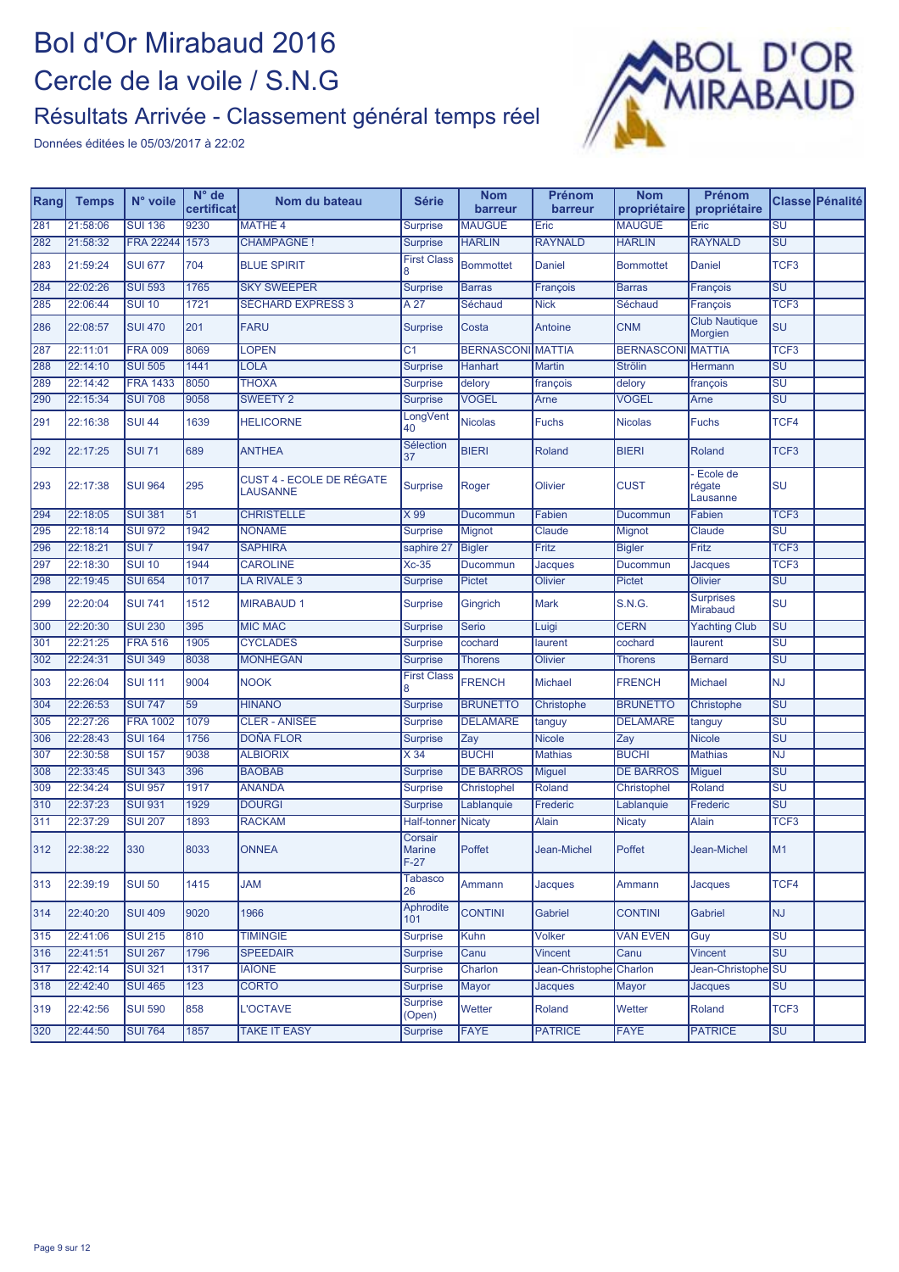

| Rang | <b>Temps</b> | N° voile         | N° de<br>certificat | Nom du bateau                                      | Série                              | <b>Nom</b><br>barreur    | Prénom<br>barreur | <b>Nom</b><br>propriétaire | Prénom<br>propriétaire          |                                   | Classe Pénalité |
|------|--------------|------------------|---------------------|----------------------------------------------------|------------------------------------|--------------------------|-------------------|----------------------------|---------------------------------|-----------------------------------|-----------------|
| 281  | 21:58:06     | <b>SUI 136</b>   | 9230                | <b>MATHÉ 4</b>                                     | <b>Surprise</b>                    | <b>MAUGUÉ</b>            | Eric              | <b>MAUGUÉ</b>              | Eric                            | $\overline{\mathsf{S}\mathsf{U}}$ |                 |
| 282  | 21:58:32     | <b>FRA 22244</b> | 1573                | <b>CHAMPAGNE!</b>                                  | <b>Surprise</b>                    | <b>HARLIN</b>            | <b>RAYNALD</b>    | <b>HARLIN</b>              | <b>RAYNALD</b>                  | <b>SU</b>                         |                 |
| 283  | 21:59:24     | <b>SUI 677</b>   | 704                 | <b>BLUE SPIRIT</b>                                 | <b>First Class</b><br>8            | <b>Bommottet</b>         | Daniel            | <b>Bommottet</b>           | Daniel                          | TCF <sub>3</sub>                  |                 |
| 284  | 22:02:26     | <b>SUI 593</b>   | 1765                | <b>SKY SWEEPER</b>                                 | <b>Surprise</b>                    | <b>Barras</b>            | François          | <b>Barras</b>              | François                        | <b>SU</b>                         |                 |
| 285  | 22:06:44     | <b>SUI 10</b>    | 1721                | <b>SÉCHARD EXPRESS 3</b>                           | A <sub>27</sub>                    | Séchaud                  | <b>Nick</b>       | Séchaud                    | François                        | TCF <sub>3</sub>                  |                 |
| 286  | 22:08:57     | <b>SUI 470</b>   | 201                 | FARU                                               | <b>Surprise</b>                    | Costa                    | Antoine           | <b>CNM</b>                 | <b>Club Nautique</b><br>Morgien | SU                                |                 |
| 287  | 22:11:01     | <b>FRA 009</b>   | 8069                | <b>LOPEN</b>                                       | C <sub>1</sub>                     | <b>BERNASCONI MATTIA</b> |                   | <b>BERNASCONI MATTIA</b>   |                                 | TCF <sub>3</sub>                  |                 |
| 288  | 22:14:10     | <b>SUI 505</b>   | 1441                | <b>LOLA</b>                                        | <b>Surprise</b>                    | Hanhart                  | <b>Martin</b>     | <b>Strölin</b>             | Hermann                         | $\overline{\mathsf{SU}}$          |                 |
| 289  | 22:14:42     | <b>FRA 1433</b>  | 8050                | <b>THOXA</b>                                       | <b>Surprise</b>                    | delory                   | françois          | delory                     | françois                        | SU                                |                 |
| 290  | 22:15:34     | <b>SUI 708</b>   | 9058                | <b>SWEETY 2</b>                                    | <b>Surprise</b>                    | <b>VOGEL</b>             | Arne              | <b>VOGEL</b>               | Arne                            | <b>SU</b>                         |                 |
| 291  | 22:16:38     | <b>SUI 44</b>    | 1639                | <b>HELICORNE</b>                                   | LongVent<br>40                     | <b>Nicolas</b>           | <b>Fuchs</b>      | <b>Nicolas</b>             | <b>Fuchs</b>                    | TCF4                              |                 |
| 292  | 22:17:25     | <b>SUI 71</b>    | 689                 | <b>ANTHEA</b>                                      | Sélection<br>37                    | <b>BIERI</b>             | Roland            | <b>BIERI</b>               | Roland                          | TCF <sub>3</sub>                  |                 |
| 293  | 22:17:38     | <b>SUI 964</b>   | 295                 | <b>CUST 4 - ECOLE DE RÉGATE</b><br><b>LAUSANNE</b> | <b>Surprise</b>                    | Roger                    | Olivier           | <b>CUST</b>                | Ecole de<br>régate<br>Lausanne  | SU                                |                 |
| 294  | 22:18:05     | <b>SUI 381</b>   | 51                  | <b>CHRISTELLE</b>                                  | X 99                               | Ducommun                 | Fabien            | Ducommun                   | Fabien                          | TCF <sub>3</sub>                  |                 |
| 295  | 22:18:14     | <b>SUI 972</b>   | 1942                | <b>NONAME</b>                                      | <b>Surprise</b>                    | Mignot                   | Claude            | Mignot                     | Claude                          | $\overline{\mathsf{S}\mathsf{U}}$ |                 |
| 296  | 22:18:21     | SUI <sub>7</sub> | 1947                | <b>SAPHIRA</b>                                     | saphire 27                         | <b>Bigler</b>            | Fritz             | <b>Bigler</b>              | Fritz                           | TCF3                              |                 |
| 297  | 22:18:30     | <b>SUI 10</b>    | 1944                | <b>CAROLINE</b>                                    | $Xc-35$                            | Ducommun                 | Jacques           | Ducommun                   | Jacques                         | TCF3                              |                 |
| 298  | 22:19:45     | <b>SUI 654</b>   | 1017                | LA RIVALE 3                                        | <b>Surprise</b>                    | <b>Pictet</b>            | Olivier           | <b>Pictet</b>              | <b>Olivier</b>                  | <b>SU</b>                         |                 |
| 299  | 22:20:04     | <b>SUI 741</b>   | 1512                | <b>MIRABAUD 1</b>                                  | <b>Surprise</b>                    | Gingrich                 | <b>Mark</b>       | <b>S.N.G.</b>              | <b>Surprises</b><br>Mirabaud    | <b>SU</b>                         |                 |
| 300  | 22:20:30     | <b>SUI 230</b>   | 395                 | <b>MIC MAC</b>                                     | <b>Surprise</b>                    | <b>Serio</b>             | Luigi             | <b>CERN</b>                | <b>Yachting Club</b>            | SU                                |                 |
| 301  | 22:21:25     | <b>FRA 516</b>   | 1905                | <b>CYCLADES</b>                                    | <b>Surprise</b>                    | cochard                  | laurent           | cochard                    | laurent                         | SU                                |                 |
| 302  | 22:24:31     | <b>SUI 349</b>   | 8038                | <b>MONHEGAN</b>                                    | <b>Surprise</b>                    | <b>Thorens</b>           | Olivier           | <b>Thorens</b>             | <b>Bernard</b>                  | SU                                |                 |
| 303  | 22:26:04     | <b>SUI 111</b>   | 9004                | <b>NOOK</b>                                        | <b>First Class</b><br>8            | <b>FRENCH</b>            | Michael           | <b>FRENCH</b>              | Michael                         | <b>NJ</b>                         |                 |
| 304  | 22:26:53     | <b>SUI 747</b>   | 59                  | <b>HINANO</b>                                      | <b>Surprise</b>                    | <b>BRUNETTO</b>          | Christophe        | <b>BRUNETTO</b>            | Christophe                      | SU                                |                 |
| 305  | 22:27:26     | <b>FRA 1002</b>  | 1079                | <b>CLER - ANISÉE</b>                               | <b>Surprise</b>                    | <b>DELAMARE</b>          | tanguy            | <b>DELAMARE</b>            | tanguy                          | SU                                |                 |
| 306  | 22:28:43     | <b>SUI 164</b>   | 1756                | <b>DOÑA FLOR</b>                                   | <b>Surprise</b>                    | Zay                      | <b>Nicole</b>     | Zay                        | <b>Nicole</b>                   | SU                                |                 |
| 307  | 22:30:58     | <b>SUI 157</b>   | 9038                | <b>ALBIORIX</b>                                    | X 34                               | <b>BUCHI</b>             | <b>Mathias</b>    | <b>BUCHI</b>               | <b>Mathias</b>                  | <b>NJ</b>                         |                 |
| 308  | 22:33:45     | <b>SUI 343</b>   | 396                 | <b>BAOBAB</b>                                      | <b>Surprise</b>                    | <b>DE BARROS</b>         | <b>Miguel</b>     | <b>DE BARROS</b>           | Miguel                          | SU                                |                 |
| 309  | 22:34:24     | <b>SUI 957</b>   | 1917                | <b>ANANDA</b>                                      | <b>Surprise</b>                    | Christophel              | Roland            | Christophel                | Roland                          | SU                                |                 |
| 310  | 22:37:23     | <b>SUI 931</b>   | 1929                | <b>DOURGI</b>                                      | <b>Surprise</b>                    | Lablanquie               | Frederic          | Lablanquie                 | Frederic                        | SU                                |                 |
| 311  | 22:37:29     | <b>SUI 207</b>   | 1893                | <b>RACKAM</b>                                      | <b>Half-tonner</b>                 | <b>Nicaty</b>            | <b>Alain</b>      | <b>Nicaty</b>              | Alain                           | TCF <sub>3</sub>                  |                 |
| 312  | 22:38:22     | 330              | 8033                | <b>ONNEA</b>                                       | Corsair<br><b>Marine</b><br>$F-27$ | Poffet                   | Jean-Michel       | Poffet                     | Jean-Michel                     | M1                                |                 |
| 313  | 22:39:19     | <b>SUI 50</b>    | 1415                | <b>JAM</b>                                         | Tabasco<br>26                      | Ammann                   | <b>Jacques</b>    | Ammann                     | <b>Jacques</b>                  | TCF4                              |                 |
| 314  | 22:40:20     | <b>SUI 409</b>   | 9020                | 1966                                               | Aphrodite<br>101                   | <b>CONTINI</b>           | <b>Gabriel</b>    | <b>CONTINI</b>             | Gabriel                         | <b>NJ</b>                         |                 |
| 315  | 22:41:06     | <b>SUI 215</b>   | 810                 | <b>TIMINGIE</b>                                    | <b>Surprise</b>                    | Kuhn                     | <b>Volker</b>     | <b>VAN EVEN</b>            | Guy                             | SU                                |                 |
| 316  | 22:41:51     | <b>SUI 267</b>   | 1796                | <b>SPEEDAIR</b>                                    | <b>Surprise</b>                    | Canu                     | <b>Vincent</b>    | Canu                       | <b>Vincent</b>                  | SU                                |                 |
| 317  | 22:42:14     | <b>SUI 321</b>   | 1317                | <b>IAÏONE</b>                                      | <b>Surprise</b>                    | Charlon                  | Jean-Christophe   | Charlon                    | Jean-Christophe <sup>SU</sup>   |                                   |                 |
| 318  | 22:42:40     | <b>SUI 465</b>   | 123                 | <b>CORTO</b>                                       | <b>Surprise</b>                    | Mayor                    | <b>Jacques</b>    | Mayor                      | <b>Jacques</b>                  | <b>SU</b>                         |                 |
| 319  | 22:42:56     | <b>SUI 590</b>   | 858                 | <b>L'OCTAVE</b>                                    | <b>Surprise</b><br>(Open)          | Wetter                   | Roland            | Wetter                     | Roland                          | TCF <sub>3</sub>                  |                 |
| 320  | 22:44:50     | <b>SUI 764</b>   | 1857                | <b>TAKE IT EASY</b>                                | <b>Surprise</b>                    | <b>FAYE</b>              | <b>PATRICE</b>    | <b>FAYE</b>                | <b>PATRICE</b>                  | SU                                |                 |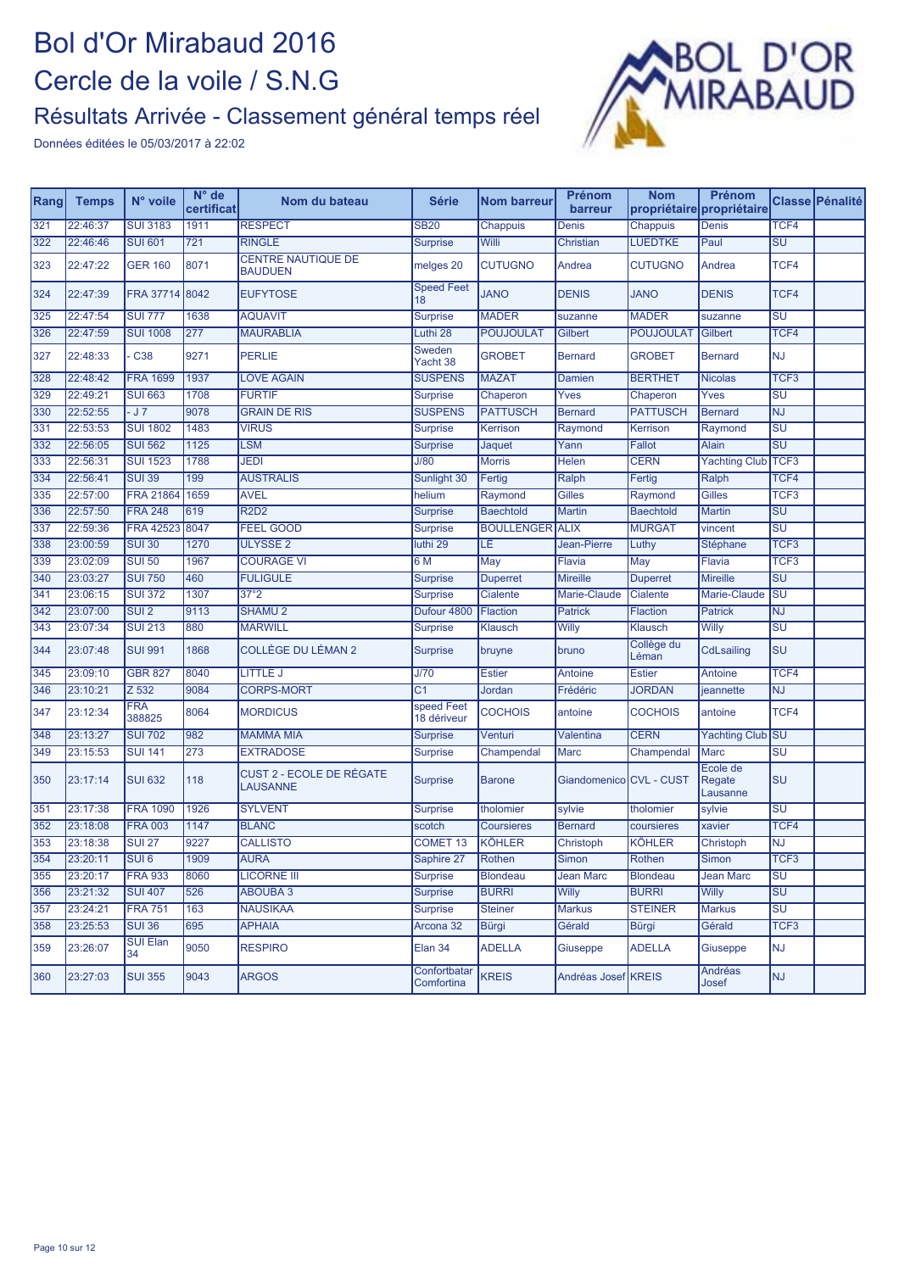

| Rang | <b>Temps</b> | N° voile              | N° de<br>certificat | Nom du bateau                               | <b>Série</b>               | <b>Nom barreur</b>     | <b>Prénom</b><br>barreur | <b>Nom</b>          | Prénom<br>propriétaire propriétaire |                                   | Classe Pénalité |
|------|--------------|-----------------------|---------------------|---------------------------------------------|----------------------------|------------------------|--------------------------|---------------------|-------------------------------------|-----------------------------------|-----------------|
| 321  | 22:46:37     | <b>SUI 3183</b>       | 1911                | <b>RESPECT</b>                              | <b>SB20</b>                | Chappuis               | Denis                    | Chappuis            | <b>Denis</b>                        | TCF4                              |                 |
| 322  | 22:46:46     | <b>SUI 601</b>        | 721                 | <b>RINGLE</b>                               | <b>Surprise</b>            | Willi                  | Christian                | <b>LUEDTKE</b>      | Paul                                | <b>SU</b>                         |                 |
| 323  | 22:47:22     | <b>GER 160</b>        | 8071                | <b>CENTRE NAUTIQUE DE</b><br><b>BAUDUEN</b> | melges 20                  | <b>CUTUGNO</b>         | Andrea                   | <b>CUTUGNO</b>      | Andrea                              | TCF4                              |                 |
| 324  | 22:47:39     | FRA 37714 8042        |                     | <b>EUFYTOSE</b>                             | <b>Speed Feet</b><br>18    | <b>JANO</b>            | <b>DENIS</b>             | <b>JANO</b>         | <b>DENIS</b>                        | TCF4                              |                 |
| 325  | 22:47:54     | <b>SUI 777</b>        | 1638                | <b>AQUAVIT</b>                              | <b>Surprise</b>            | <b>MADER</b>           | suzanne                  | <b>MADER</b>        | suzanne                             | SU                                |                 |
| 326  | 22:47:59     | <b>SUI 1008</b>       | 277                 | <b>MAURABLIA</b>                            | Luthi 28                   | <b>POUJOULAT</b>       | Gilbert                  | <b>POUJOULAT</b>    | Gilbert                             | TCF4                              |                 |
| 327  | 22:48:33     | C <sub>38</sub>       | 9271                | <b>PERLIE</b>                               | Sweden<br>Yacht 38         | <b>GROBET</b>          | <b>Bernard</b>           | <b>GROBET</b>       | <b>Bernard</b>                      | <b>NJ</b>                         |                 |
| 328  | 22:48:42     | <b>FRA 1699</b>       | 1937                | <b>LOVE AGAIN</b>                           | <b>SUSPENS</b>             | <b>MAZAT</b>           | Damien                   | <b>BERTHET</b>      | <b>Nicolas</b>                      | TCF <sub>3</sub>                  |                 |
| 329  | 22:49:21     | <b>SUI 663</b>        | 1708                | <b>FURTIF</b>                               | Surprise                   | Chaperon               | Yves                     | Chaperon            | Yves                                | $\overline{\mathsf{SU}}$          |                 |
| 330  | 22:52:55     | $-J7$                 | 9078                | <b>GRAIN DE RIS</b>                         | <b>SUSPENS</b>             | <b>PATTUSCH</b>        | <b>Bernard</b>           | <b>PATTUSCH</b>     | <b>Bernard</b>                      | <b>NJ</b>                         |                 |
| 331  | 22:53:53     | <b>SUI 1802</b>       | 1483                | <b>VIRUS</b>                                | <b>Surprise</b>            | Kerrison               | Raymond                  | Kerrison            | Raymond                             | $\overline{\mathsf{SU}}$          |                 |
| 332  | 22:56:05     | <b>SUI 562</b>        | 1125                | <b>LSM</b>                                  | Surprise                   | Jaquet                 | Yann                     | Fallot              | <b>Alain</b>                        | $\overline{\text{SU}}$            |                 |
| 333  | 22:56:31     | <b>SUI 1523</b>       | 1788                | <b>JEDI</b>                                 | J/80                       | <b>Morris</b>          | Helen                    | <b>CERN</b>         | <b>Yachting Club</b>                | TCF <sub>3</sub>                  |                 |
| 334  | 22:56:41     | <b>SUI 39</b>         | 199                 | <b>AUSTRALIS</b>                            | Sunlight 30                | Fertig                 | Ralph                    | Fertig              | Ralph                               | TCF4                              |                 |
| 335  | 22:57:00     | <b>FRA 21864</b>      | 1659                | <b>AVEL</b>                                 | helium                     | Raymond                | Gilles                   | Raymond             | Gilles                              | TCF <sub>3</sub>                  |                 |
| 336  | 22:57:50     | <b>FRA 248</b>        | 619                 | <b>R2D2</b>                                 | <b>Surprise</b>            | <b>Baechtold</b>       | <b>Martin</b>            | <b>Baechtold</b>    | <b>Martin</b>                       | $\overline{\mathsf{SU}}$          |                 |
| 337  | 22:59:36     | <b>FRA 42523</b>      | 8047                | <b>FEEL GOOD</b>                            | <b>Surprise</b>            | <b>BOULLENGER ALIX</b> |                          | <b>MURGAT</b>       | vincent                             | $\overline{\mathsf{SU}}$          |                 |
| 338  | 23:00:59     | <b>SUI 30</b>         | 1270                | <b>ULYSSE 2</b>                             | luthi 29                   | LÊ                     | Jean-Pierre              | Luthy               | Stéphane                            | TCF <sub>3</sub>                  |                 |
| 339  | 23:02:09     | <b>SUI 50</b>         | 1967                | <b>COURAGE VI</b>                           | 6 M                        | May                    | <b>Flavia</b>            | May                 | <b>Flavia</b>                       | TCF <sub>3</sub>                  |                 |
| 340  | 23:03:27     | <b>SUI 750</b>        | 460                 | <b>FULIGULE</b>                             | <b>Surprise</b>            | <b>Duperret</b>        | <b>Mireille</b>          | <b>Duperret</b>     | <b>Mireille</b>                     | $\overline{\mathsf{SU}}$          |                 |
| 341  | 23:06:15     | <b>SUI 372</b>        | 1307                | 37°2                                        | <b>Surprise</b>            | Cialente               | Marie-Claude             | Cialente            | Marie-Claude                        | $\overline{\mathsf{S}\mathsf{U}}$ |                 |
| 342  | 23:07:00     | SUI <sub>2</sub>      | 9113                | <b>SHAMU<sub>2</sub></b>                    | Dufour 4800                | <b>Flaction</b>        | <b>Patrick</b>           | Flaction            | <b>Patrick</b>                      | <b>NJ</b>                         |                 |
| 343  | 23:07:34     | <b>SUI 213</b>        | 880                 | <b>MARWILL</b>                              | <b>Surprise</b>            | <b>Klausch</b>         | Willy                    | <b>Klausch</b>      | Willy                               | $\overline{\mathsf{SU}}$          |                 |
| 344  | 23:07:48     | <b>SUI 991</b>        | 1868                | COLLÈGE DU LÉMAN 2                          | <b>Surprise</b>            | bruyne                 | bruno                    | Collège du<br>Léman | CdLsailing                          | SU                                |                 |
| 345  | 23:09:10     | <b>GBR 827</b>        | 8040                | LITTLE J                                    | J/70                       | <b>Estier</b>          | Antoine                  | <b>Estier</b>       | Antoine                             | TCF4                              |                 |
| 346  | 23:10:21     | $\overline{Z}$ 532    | 9084                | <b>CORPS-MORT</b>                           | C <sub>1</sub>             | Jordan                 | Frédéric                 | <b>JORDAN</b>       | jeannette                           | $\overline{NJ}$                   |                 |
| 347  | 23:12:34     | <b>FRA</b><br>388825  | 8064                | <b>MORDICUS</b>                             | speed Feet<br>18 dériveur  | <b>COCHOIS</b>         | antoine                  | <b>COCHOIS</b>      | antoine                             | TCF4                              |                 |
| 348  | 23:13:27     | <b>SUI 702</b>        | 982                 | <b>MAMMA MIA</b>                            | <b>Surprise</b>            | Venturi                | <b>Valentina</b>         | <b>CERN</b>         | Yachting Club SU                    |                                   |                 |
| 349  | 23:15:53     | <b>SUI 141</b>        | 273                 | <b>EXTRADOSE</b>                            | <b>Surprise</b>            | Champendal             | <b>Marc</b>              | Champendal          | <b>Marc</b>                         | SU                                |                 |
| 350  | 23:17:14     | <b>SUI 632</b>        | 118                 | CUST 2 - ECOLE DE RÉGATE<br><b>LAUSANNE</b> | <b>Surprise</b>            | <b>Barone</b>          | Giandomenico CVL - CUST  |                     | Ecole de<br>Regate<br>Lausanne      | SU                                |                 |
| 351  | 23:17:38     | <b>FRA 1090</b>       | 1926                | <b>SYLVENT</b>                              | <b>Surprise</b>            | tholomier              | sylvie                   | tholomier           | sylvie                              | $\overline{\mathsf{SU}}$          |                 |
| 352  | 23:18:08     | <b>FRA 003</b>        | 1147                | <b>BLANC</b>                                | scotch                     | <b>Coursieres</b>      | <b>Bernard</b>           | coursieres          | xavier                              | TCF4                              |                 |
| 353  | 23:18:38     | <b>SUI 27</b>         | 9227                | <b>CALLISTO</b>                             | <b>COMET 13</b>            | <b>KÖHLER</b>          | Christoph                | <b>KÖHLER</b>       | Christoph                           | $\overline{\text{NJ}}$            |                 |
| 354  | 23:20:11     | SUI6                  | 1909                | <b>AURA</b>                                 | Saphire 27                 | Rothen                 | <b>Simon</b>             | Rothen              | Simon                               | TCF <sub>3</sub>                  |                 |
| 355  | 23:20:17     | <b>FRA 933</b>        | 8060                | LICORNE III                                 | <b>Surprise</b>            | <b>Blondeau</b>        | <b>Jean Marc</b>         | <b>Blondeau</b>     | <b>Jean Marc</b>                    | SU                                |                 |
| 356  | 23:21:32     | <b>SUI 407</b>        | 526                 | <b>ABOUBA 3</b>                             | <b>Surprise</b>            | <b>BURRI</b>           | Willy                    | <b>BURRI</b>        | Willy                               | <b>SU</b>                         |                 |
| 357  | 23:24:21     | <b>FRA 751</b>        | 163                 | <b>NAUSIKAA</b>                             | <b>Surprise</b>            | <b>Steiner</b>         | <b>Markus</b>            | <b>STEINER</b>      | <b>Markus</b>                       | SU                                |                 |
| 358  | 23:25:53     | <b>SUI 36</b>         | 695                 | <b>APHAIA</b>                               | Arcona 32                  | Bürgi                  | Gérald                   | <b>Bürgi</b>        | Gérald                              | TCF <sub>3</sub>                  |                 |
| 359  | 23:26:07     | <b>SUI Elan</b><br>34 | 9050                | <b>RESPIRO</b>                              | Elan 34                    | <b>ADELLA</b>          | Giuseppe                 | <b>ADELLA</b>       | Giuseppe                            | NJ                                |                 |
| 360  | 23:27:03     | <b>SUI 355</b>        | 9043                | <b>ARGOS</b>                                | Confortbatar<br>Comfortina | <b>KREIS</b>           | Andréas Josef KREIS      |                     | Andréas<br>Josef                    | NJ                                |                 |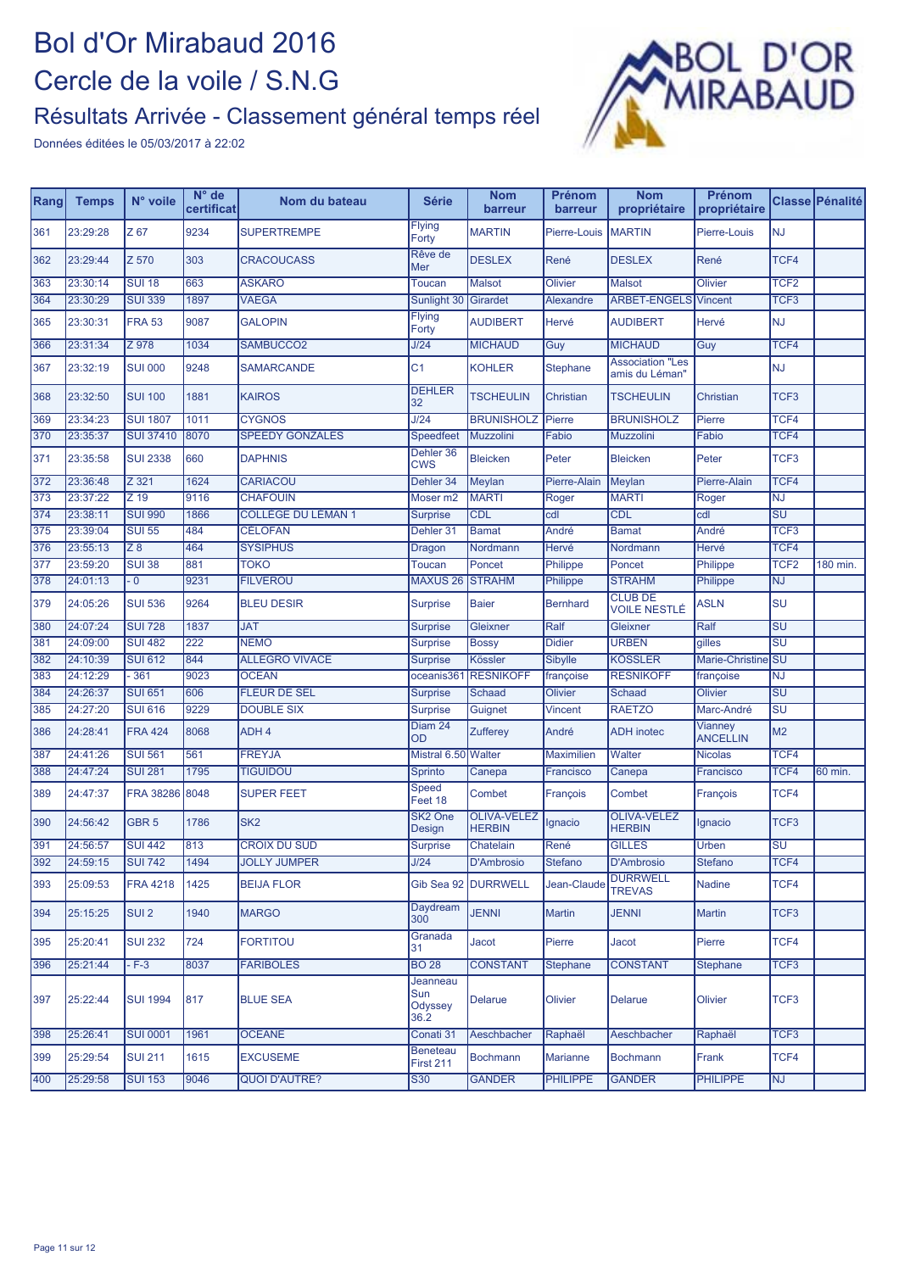

| Rang | <b>Temps</b> | N° voile         | $N^{\circ}$ de<br>certificat | Nom du bateau             | <b>Série</b>                        | <b>Nom</b><br>barreur               | <b>Prénom</b><br>barreur | <b>Nom</b><br>propriétaire                | Prénom<br>propriétaire            |                                   | Classe Pénalité |
|------|--------------|------------------|------------------------------|---------------------------|-------------------------------------|-------------------------------------|--------------------------|-------------------------------------------|-----------------------------------|-----------------------------------|-----------------|
| 361  | 23:29:28     | Z 67             | 9234                         | <b>SUPERTREMPE</b>        | <b>Flying</b><br>Forty              | <b>MARTIN</b>                       | Pierre-Louis             | <b>MARTIN</b>                             | Pierre-Louis                      | <b>NJ</b>                         |                 |
| 362  | 23:29:44     | Z 570            | 303                          | <b>CRACOUCASS</b>         | Rêve de<br>Mer                      | <b>DESLEX</b>                       | René                     | <b>DESLEX</b>                             | René                              | TCF4                              |                 |
| 363  | 23:30:14     | <b>SUI 18</b>    | 663                          | <b>ASKARO</b>             | <b>Toucan</b>                       | <b>Malsot</b>                       | <b>Olivier</b>           | <b>Malsot</b>                             | <b>Olivier</b>                    | TCF <sub>2</sub>                  |                 |
| 364  | 23:30:29     | <b>SUI 339</b>   | 1897                         | <b>VAEGA</b>              | Sunlight 30                         | Girardet                            | Alexandre                | <b>ARBET-ENGELS</b>                       | <b>Vincent</b>                    | TCF <sub>3</sub>                  |                 |
| 365  | 23:30:31     | <b>FRA 53</b>    | 9087                         | <b>GALOPIN</b>            | Flying<br>Forty                     | <b>AUDIBERT</b>                     | Hervé                    | <b>AUDIBERT</b>                           | Hervé                             | <b>NJ</b>                         |                 |
| 366  | 23:31:34     | Z 978            | 1034                         | SAMBUCCO2                 | J/24                                | <b>MICHAUD</b>                      | Guy                      | <b>MICHAUD</b>                            | Guy                               | TCF4                              |                 |
| 367  | 23:32:19     | <b>SUI 000</b>   | 9248                         | <b>SAMARCANDE</b>         | C <sub>1</sub>                      | <b>KOHLER</b>                       | Stephane                 | <b>Association "Les</b><br>amis du Léman" |                                   | <b>NJ</b>                         |                 |
| 368  | 23:32:50     | <b>SUI 100</b>   | 1881                         | <b>KAIROS</b>             | <b>DEHLER</b><br>32                 | <b>TSCHEULIN</b>                    | <b>Christian</b>         | <b>TSCHEULIN</b>                          | Christian                         | TCF <sub>3</sub>                  |                 |
| 369  | 23:34:23     | <b>SUI 1807</b>  | 1011                         | <b>CYGNOS</b>             | J/24                                | <b>BRUNISHOLZ</b>                   | Pierre                   | <b>BRUNISHOLZ</b>                         | Pierre                            | TCF4                              |                 |
| 370  | 23:35:37     | <b>SUI 37410</b> | 8070                         | <b>SPEEDY GONZALES</b>    | Speedfeet                           | Muzzolini                           | Fabio                    | <b>Muzzolini</b>                          | Fabio                             | TCF4                              |                 |
| 371  | 23:35:58     | <b>SUI 2338</b>  | 660                          | <b>DAPHNIS</b>            | Dehler 36<br><b>CWS</b>             | <b>Bleicken</b>                     | Peter                    | <b>Bleicken</b>                           | Peter                             | TCF3                              |                 |
| 372  | 23:36:48     | Z 321            | 1624                         | <b>CARIACOU</b>           | Dehler 34                           | <b>Meylan</b>                       | Pierre-Alain             | Meylan                                    | Pierre-Alain                      | TCF4                              |                 |
| 373  | 23:37:22     | Z 19             | 9116                         | <b>CHAFOUIN</b>           | Moser <sub>m2</sub>                 | <b>MARTI</b>                        | Roger                    | <b>MARTI</b>                              | Roger                             | <b>NJ</b>                         |                 |
| 374  | 23:38:11     | <b>SUI 990</b>   | 1866                         | <b>COLLÈGE DU LÉMAN 1</b> | <b>Surprise</b>                     | CDL                                 | cdl                      | <b>CDL</b>                                | cdl                               | $\overline{\mathsf{S}\mathsf{U}}$ |                 |
| 375  | 23:39:04     | <b>SUI 55</b>    | 484                          | <b>CÉLOFAN</b>            | Dehler 31                           | <b>Bamat</b>                        | André                    | <b>Bamat</b>                              | André                             | TCF <sub>3</sub>                  |                 |
| 376  | 23:55:13     | Z8               | 464                          | <b>SYSIPHUS</b>           | Dragon                              | Nordmann                            | Hervé                    | Nordmann                                  | Hervé                             | TCF4                              |                 |
| 377  | 23:59:20     | <b>SUI 38</b>    | 881                          | <b>TOKO</b>               | Toucan                              | Poncet                              | Philippe                 | Poncet                                    | Philippe                          | TCF <sub>2</sub>                  | 180 min.        |
| 378  | 24:01:13     | $-0$             | 9231                         | <b>FILVEROU</b>           | <b>MAXUS 26</b>                     | <b>STRAHM</b>                       | Philippe                 | <b>STRAHM</b>                             | Philippe                          | <b>NJ</b>                         |                 |
| 379  | 24:05:26     | <b>SUI 536</b>   | 9264                         | <b>BLEU DESIR</b>         | <b>Surprise</b>                     | <b>Baier</b>                        | <b>Bernhard</b>          | <b>CLUB DE</b><br>VOILE NESTLÉ            | <b>ASLN</b>                       | SU                                |                 |
| 380  | 24:07:24     | <b>SUI 728</b>   | 1837                         | <b>JAT</b>                | <b>Surprise</b>                     | Gleixner                            | Ralf                     | Gleixner                                  | Ralf                              | $\overline{\mathsf{S}\mathsf{U}}$ |                 |
| 381  | 24:09:00     | <b>SUI 482</b>   | 222                          | <b>NEMO</b>               | <b>Surprise</b>                     | <b>Bossy</b>                        | <b>Didier</b>            | <b>URBEN</b>                              | qilles                            | $\overline{\mathsf{S}\mathsf{U}}$ |                 |
| 382  | 24:10:39     | <b>SUI 612</b>   | 844                          | <b>ALLEGRO VIVACE</b>     | <b>Surprise</b>                     | <b>Kössler</b>                      | <b>Sibylle</b>           | <b>KÖSSLER</b>                            | Marie-Christine SU                |                                   |                 |
| 383  | 24:12:29     | $-361$           | 9023                         | <b>OCEAN</b>              | oceanis36                           | <b>RESNIKOFF</b>                    | françoise                | <b>RESNIKOFF</b>                          | françoise                         | <b>NJ</b>                         |                 |
| 384  | 24:26:37     | <b>SUI 651</b>   | 606                          | <b>FLEUR DE SEL</b>       | <b>Surprise</b>                     | <b>Schaad</b>                       | Olivier                  | <b>Schaad</b>                             | Olivier                           | $\overline{\mathsf{S}\mathsf{U}}$ |                 |
| 385  | 24:27:20     | <b>SUI 616</b>   | 9229                         | <b>DOUBLE SIX</b>         | <b>Surprise</b>                     | Guignet                             | Vincent                  | <b>RAETZO</b>                             | Marc-André                        | $\overline{\mathsf{S}\mathsf{U}}$ |                 |
| 386  | 24:28:41     | <b>FRA 424</b>   | 8068                         | ADH <sub>4</sub>          | Diam 24<br>OD                       | Zufferey                            | André                    | <b>ADH</b> inotec                         | <b>Vianney</b><br><b>ANCELLIN</b> | M <sub>2</sub>                    |                 |
| 387  | 24:41:26     | <b>SUI 561</b>   | 561                          | <b>FREYJA</b>             | Mistral 6.50 Walter                 |                                     | <b>Maximilien</b>        | Walter                                    | <b>Nicolas</b>                    | TCF4                              |                 |
| 388  | 24:47:24     | <b>SUI 281</b>   | 1795                         | <b>TIGUIDOU</b>           | Sprinto                             | Canepa                              | Francisco                | Canepa                                    | Francisco                         | TCF4                              | 60 min.         |
| 389  | 24:47:37     | <b>FRA 38286</b> | 8048                         | <b>SUPER FEET</b>         | Speed<br>Feet 18                    | Combet                              | François                 | Combet                                    | François                          | TCF4                              |                 |
| 390  | 24:56:42     | GBR <sub>5</sub> | 1786                         | SK <sub>2</sub>           | SK <sub>2</sub> One<br>Design       | <b>OLIVA-VELEZ</b><br><b>HERBIN</b> | Ignacio                  | <b>OLIVA-VELEZ</b><br><b>HERBIN</b>       | Ignacio                           | TCF <sub>3</sub>                  |                 |
| 391  | 24:56:57     | <b>SUI 442</b>   | 813                          | <b>CROIX DU SUD</b>       | <b>Surprise</b>                     | Chatelain                           | René                     | <b>GILLES</b>                             | <b>Urben</b>                      | $\overline{\mathsf{S}\mathsf{U}}$ |                 |
| 392  | 24:59:15     | <b>SUI 742</b>   | 1494                         | <b>JOLLY JUMPER</b>       | J/24                                | <b>D'Ambrosio</b>                   | <b>Stefano</b>           | <b>D'Ambrosio</b>                         | <b>Stefano</b>                    | TCF4                              |                 |
| 393  | 25:09:53     | <b>FRA 4218</b>  | 1425                         | <b>BEIJA FLOR</b>         |                                     | Gib Sea 92 DURRWELL                 | Jean-Claude              | <b>DURRWELL</b><br><b>TREVAS</b>          | <b>Nadine</b>                     | TCF4                              |                 |
| 394  | 25:15:25     | SUI <sub>2</sub> | 1940                         | <b>MARGO</b>              | Daydream<br>300                     | <b>JENNI</b>                        | <b>Martin</b>            | <b>JENNI</b>                              | <b>Martin</b>                     | TCF3                              |                 |
| 395  | 25:20:41     | <b>SUI 232</b>   | 724                          | <b>FORTITOU</b>           | Granada<br>31                       | Jacot                               | Pierre                   | Jacot                                     | Pierre                            | TCF4                              |                 |
| 396  | 25:21:44     | $-F-3$           | 8037                         | <b>FARIBOLES</b>          | <b>BO 28</b>                        | <b>CONSTANT</b>                     | <b>Stephane</b>          | <b>CONSTANT</b>                           | <b>Stephane</b>                   | TCF <sub>3</sub>                  |                 |
| 397  | 25:22:44     | <b>SUI 1994</b>  | 817                          | <b>BLUE SEA</b>           | Jeanneau<br>Sun<br>Odyssey<br>36.2  | Delarue                             | Olivier                  | <b>Delarue</b>                            | Olivier                           | TCF <sub>3</sub>                  |                 |
| 398  | 25:26:41     | <b>SUI 0001</b>  | 1961                         | <b>OCEANE</b>             | Conati 31                           | Aeschbacher                         | Raphaël                  | Aeschbacher                               | Raphaël                           | TCF <sub>3</sub>                  |                 |
| 399  | 25:29:54     | <b>SUI 211</b>   | 1615                         | <b>EXCUSEME</b>           | <b>Beneteau</b><br><b>First 211</b> | <b>Bochmann</b>                     | <b>Marianne</b>          | <b>Bochmann</b>                           | Frank                             | TCF4                              |                 |
| 400  | 25:29:58     | <b>SUI 153</b>   | 9046                         | <b>QUOI D'AUTRE?</b>      | S30                                 | <b>GANDER</b>                       | <b>PHILIPPE</b>          | <b>GANDER</b>                             | <b>PHILIPPE</b>                   | <b>NJ</b>                         |                 |
|      |              |                  |                              |                           |                                     |                                     |                          |                                           |                                   |                                   |                 |